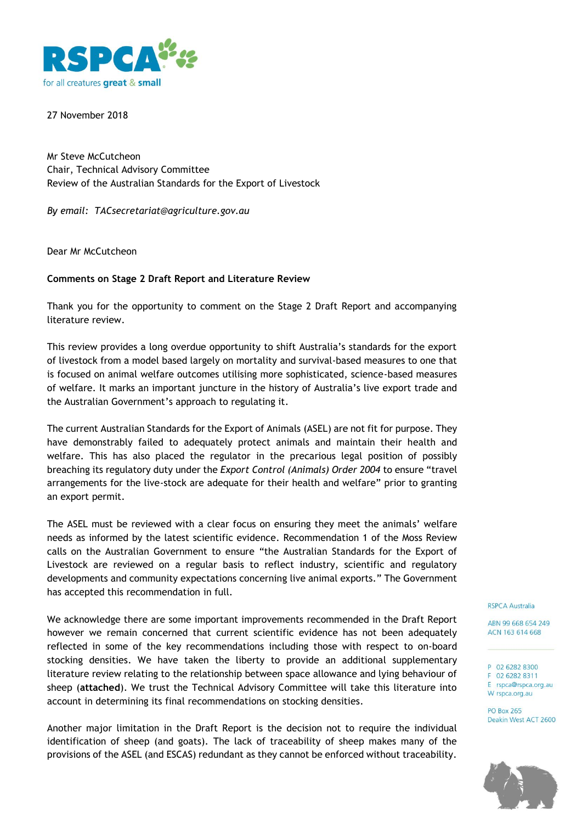

27 November 2018

Mr Steve McCutcheon Chair, Technical Advisory Committee Review of the Australian Standards for the Export of Livestock

*By email: TACsecretariat@agriculture.gov.au*

Dear Mr McCutcheon

# **Comments on Stage 2 Draft Report and Literature Review**

Thank you for the opportunity to comment on the Stage 2 Draft Report and accompanying literature review.

This review provides a long overdue opportunity to shift Australia's standards for the export of livestock from a model based largely on mortality and survival-based measures to one that is focused on animal welfare outcomes utilising more sophisticated, science-based measures of welfare. It marks an important juncture in the history of Australia's live export trade and the Australian Government's approach to regulating it.

The current Australian Standards for the Export of Animals (ASEL) are not fit for purpose. They have demonstrably failed to adequately protect animals and maintain their health and welfare. This has also placed the regulator in the precarious legal position of possibly breaching its regulatory duty under the *Export Control (Animals) Order 2004* to ensure "travel arrangements for the live-stock are adequate for their health and welfare" prior to granting an export permit.

The ASEL must be reviewed with a clear focus on ensuring they meet the animals' welfare needs as informed by the latest scientific evidence. Recommendation 1 of the Moss Review calls on the Australian Government to ensure "the Australian Standards for the Export of Livestock are reviewed on a regular basis to reflect industry, scientific and regulatory developments and community expectations concerning live animal exports." The Government has accepted this recommendation in full.

We acknowledge there are some important improvements recommended in the Draft Report however we remain concerned that current scientific evidence has not been adequately reflected in some of the key recommendations including those with respect to on-board stocking densities. We have taken the liberty to provide an additional supplementary literature review relating to the relationship between space allowance and lying behaviour of sheep (**attached**). We trust the Technical Advisory Committee will take this literature into account in determining its final recommendations on stocking densities.

Another major limitation in the Draft Report is the decision not to require the individual identification of sheep (and goats). The lack of traceability of sheep makes many of the provisions of the ASEL (and ESCAS) redundant as they cannot be enforced without traceability.

#### **RSPCA Australia**

ABN 99 668 654 249 ACN 163 614 668

#### P 02 6282 8300 F 02 6282 8311

E rspca@rspca.org.au W rspca.org.au

**PO Box 265** Deakin West ACT 2600

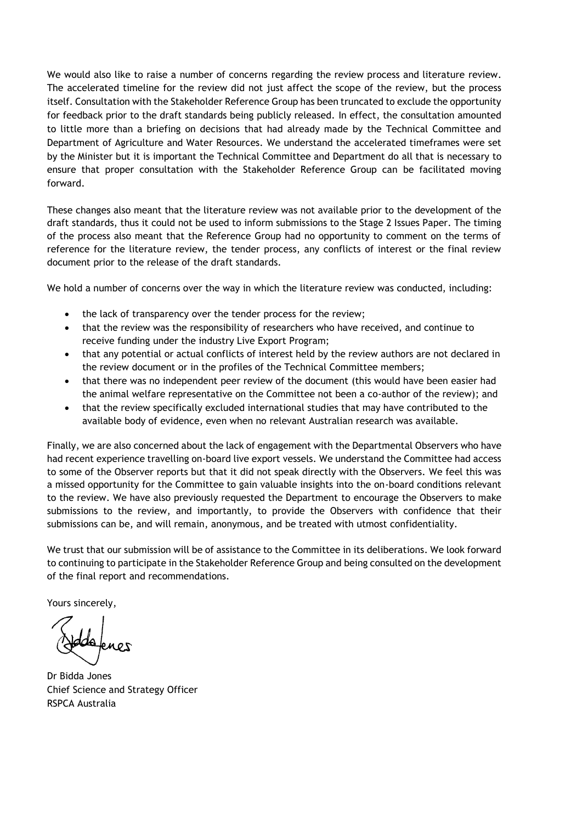We would also like to raise a number of concerns regarding the review process and literature review. The accelerated timeline for the review did not just affect the scope of the review, but the process itself. Consultation with the Stakeholder Reference Group has been truncated to exclude the opportunity for feedback prior to the draft standards being publicly released. In effect, the consultation amounted to little more than a briefing on decisions that had already made by the Technical Committee and Department of Agriculture and Water Resources. We understand the accelerated timeframes were set by the Minister but it is important the Technical Committee and Department do all that is necessary to ensure that proper consultation with the Stakeholder Reference Group can be facilitated moving forward.

These changes also meant that the literature review was not available prior to the development of the draft standards, thus it could not be used to inform submissions to the Stage 2 Issues Paper. The timing of the process also meant that the Reference Group had no opportunity to comment on the terms of reference for the literature review, the tender process, any conflicts of interest or the final review document prior to the release of the draft standards.

We hold a number of concerns over the way in which the literature review was conducted, including:

- the lack of transparency over the tender process for the review;
- that the review was the responsibility of researchers who have received, and continue to receive funding under the industry Live Export Program;
- that any potential or actual conflicts of interest held by the review authors are not declared in the review document or in the profiles of the Technical Committee members;
- that there was no independent peer review of the document (this would have been easier had the animal welfare representative on the Committee not been a co-author of the review); and
- that the review specifically excluded international studies that may have contributed to the available body of evidence, even when no relevant Australian research was available.

Finally, we are also concerned about the lack of engagement with the Departmental Observers who have had recent experience travelling on-board live export vessels. We understand the Committee had access to some of the Observer reports but that it did not speak directly with the Observers. We feel this was a missed opportunity for the Committee to gain valuable insights into the on-board conditions relevant to the review. We have also previously requested the Department to encourage the Observers to make submissions to the review, and importantly, to provide the Observers with confidence that their submissions can be, and will remain, anonymous, and be treated with utmost confidentiality.

We trust that our submission will be of assistance to the Committee in its deliberations. We look forward to continuing to participate in the Stakeholder Reference Group and being consulted on the development of the final report and recommendations.

Yours sincerely,

Dr Bidda Jones Chief Science and Strategy Officer RSPCA Australia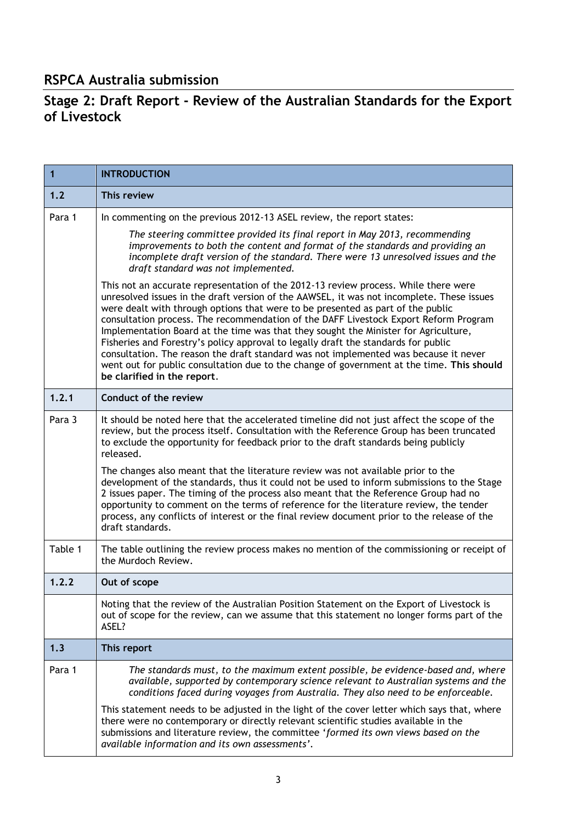# **RSPCA Australia submission**

# **Stage 2: Draft Report - Review of the Australian Standards for the Export of Livestock**

| 1       | <b>INTRODUCTION</b>                                                                                                                                                                                                                                                                                                                                                                                                                                                                                                                                                                                                                                                                                                                                          |  |  |  |  |
|---------|--------------------------------------------------------------------------------------------------------------------------------------------------------------------------------------------------------------------------------------------------------------------------------------------------------------------------------------------------------------------------------------------------------------------------------------------------------------------------------------------------------------------------------------------------------------------------------------------------------------------------------------------------------------------------------------------------------------------------------------------------------------|--|--|--|--|
| 1.2     | This review                                                                                                                                                                                                                                                                                                                                                                                                                                                                                                                                                                                                                                                                                                                                                  |  |  |  |  |
| Para 1  | In commenting on the previous 2012-13 ASEL review, the report states:                                                                                                                                                                                                                                                                                                                                                                                                                                                                                                                                                                                                                                                                                        |  |  |  |  |
|         | The steering committee provided its final report in May 2013, recommending<br>improvements to both the content and format of the standards and providing an<br>incomplete draft version of the standard. There were 13 unresolved issues and the<br>draft standard was not implemented.                                                                                                                                                                                                                                                                                                                                                                                                                                                                      |  |  |  |  |
|         | This not an accurate representation of the 2012-13 review process. While there were<br>unresolved issues in the draft version of the AAWSEL, it was not incomplete. These issues<br>were dealt with through options that were to be presented as part of the public<br>consultation process. The recommendation of the DAFF Livestock Export Reform Program<br>Implementation Board at the time was that they sought the Minister for Agriculture,<br>Fisheries and Forestry's policy approval to legally draft the standards for public<br>consultation. The reason the draft standard was not implemented was because it never<br>went out for public consultation due to the change of government at the time. This should<br>be clarified in the report. |  |  |  |  |
| 1.2.1   | Conduct of the review                                                                                                                                                                                                                                                                                                                                                                                                                                                                                                                                                                                                                                                                                                                                        |  |  |  |  |
| Para 3  | It should be noted here that the accelerated timeline did not just affect the scope of the<br>review, but the process itself. Consultation with the Reference Group has been truncated<br>to exclude the opportunity for feedback prior to the draft standards being publicly<br>released.                                                                                                                                                                                                                                                                                                                                                                                                                                                                   |  |  |  |  |
|         | The changes also meant that the literature review was not available prior to the<br>development of the standards, thus it could not be used to inform submissions to the Stage<br>2 issues paper. The timing of the process also meant that the Reference Group had no<br>opportunity to comment on the terms of reference for the literature review, the tender<br>process, any conflicts of interest or the final review document prior to the release of the<br>draft standards.                                                                                                                                                                                                                                                                          |  |  |  |  |
| Table 1 | The table outlining the review process makes no mention of the commissioning or receipt of<br>the Murdoch Review.                                                                                                                                                                                                                                                                                                                                                                                                                                                                                                                                                                                                                                            |  |  |  |  |
| 1.2.2   | Out of scope                                                                                                                                                                                                                                                                                                                                                                                                                                                                                                                                                                                                                                                                                                                                                 |  |  |  |  |
|         | Noting that the review of the Australian Position Statement on the Export of Livestock is<br>out of scope for the review, can we assume that this statement no longer forms part of the<br>ASEL?                                                                                                                                                                                                                                                                                                                                                                                                                                                                                                                                                             |  |  |  |  |
| 1.3     | This report                                                                                                                                                                                                                                                                                                                                                                                                                                                                                                                                                                                                                                                                                                                                                  |  |  |  |  |
| Para 1  | The standards must, to the maximum extent possible, be evidence-based and, where<br>available, supported by contemporary science relevant to Australian systems and the<br>conditions faced during voyages from Australia. They also need to be enforceable.                                                                                                                                                                                                                                                                                                                                                                                                                                                                                                 |  |  |  |  |
|         | This statement needs to be adjusted in the light of the cover letter which says that, where<br>there were no contemporary or directly relevant scientific studies available in the<br>submissions and literature review, the committee 'formed its own views based on the<br>available information and its own assessments'.                                                                                                                                                                                                                                                                                                                                                                                                                                 |  |  |  |  |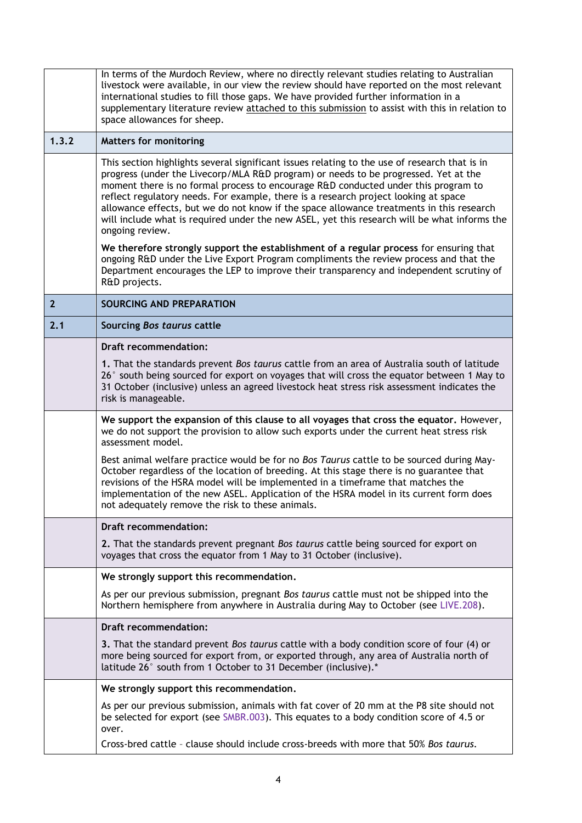|                | In terms of the Murdoch Review, where no directly relevant studies relating to Australian<br>livestock were available, in our view the review should have reported on the most relevant<br>international studies to fill those gaps. We have provided further information in a<br>supplementary literature review attached to this submission to assist with this in relation to<br>space allowances for sheep.                                                                                                                                                                  |  |  |  |  |  |
|----------------|----------------------------------------------------------------------------------------------------------------------------------------------------------------------------------------------------------------------------------------------------------------------------------------------------------------------------------------------------------------------------------------------------------------------------------------------------------------------------------------------------------------------------------------------------------------------------------|--|--|--|--|--|
| 1.3.2          | <b>Matters for monitoring</b>                                                                                                                                                                                                                                                                                                                                                                                                                                                                                                                                                    |  |  |  |  |  |
|                | This section highlights several significant issues relating to the use of research that is in<br>progress (under the Livecorp/MLA R&D program) or needs to be progressed. Yet at the<br>moment there is no formal process to encourage R&D conducted under this program to<br>reflect regulatory needs. For example, there is a research project looking at space<br>allowance effects, but we do not know if the space allowance treatments in this research<br>will include what is required under the new ASEL, yet this research will be what informs the<br>ongoing review. |  |  |  |  |  |
|                | We therefore strongly support the establishment of a regular process for ensuring that<br>ongoing R&D under the Live Export Program compliments the review process and that the<br>Department encourages the LEP to improve their transparency and independent scrutiny of<br>R&D projects.                                                                                                                                                                                                                                                                                      |  |  |  |  |  |
| $\overline{2}$ | <b>SOURCING AND PREPARATION</b>                                                                                                                                                                                                                                                                                                                                                                                                                                                                                                                                                  |  |  |  |  |  |
| 2.1            | Sourcing Bos taurus cattle                                                                                                                                                                                                                                                                                                                                                                                                                                                                                                                                                       |  |  |  |  |  |
|                | <b>Draft recommendation:</b>                                                                                                                                                                                                                                                                                                                                                                                                                                                                                                                                                     |  |  |  |  |  |
|                | 1. That the standards prevent Bos taurus cattle from an area of Australia south of latitude<br>26° south being sourced for export on voyages that will cross the equator between 1 May to<br>31 October (inclusive) unless an agreed livestock heat stress risk assessment indicates the<br>risk is manageable.                                                                                                                                                                                                                                                                  |  |  |  |  |  |
|                | We support the expansion of this clause to all voyages that cross the equator. However,<br>we do not support the provision to allow such exports under the current heat stress risk<br>assessment model.                                                                                                                                                                                                                                                                                                                                                                         |  |  |  |  |  |
|                | Best animal welfare practice would be for no Bos Taurus cattle to be sourced during May-<br>October regardless of the location of breeding. At this stage there is no guarantee that<br>revisions of the HSRA model will be implemented in a timeframe that matches the<br>implementation of the new ASEL. Application of the HSRA model in its current form does<br>not adequately remove the risk to these animals.                                                                                                                                                            |  |  |  |  |  |
|                | <b>Draft recommendation:</b>                                                                                                                                                                                                                                                                                                                                                                                                                                                                                                                                                     |  |  |  |  |  |
|                | 2. That the standards prevent pregnant Bos taurus cattle being sourced for export on<br>voyages that cross the equator from 1 May to 31 October (inclusive).                                                                                                                                                                                                                                                                                                                                                                                                                     |  |  |  |  |  |
|                | We strongly support this recommendation.                                                                                                                                                                                                                                                                                                                                                                                                                                                                                                                                         |  |  |  |  |  |
|                | As per our previous submission, pregnant Bos taurus cattle must not be shipped into the<br>Northern hemisphere from anywhere in Australia during May to October (see LIVE.208).                                                                                                                                                                                                                                                                                                                                                                                                  |  |  |  |  |  |
|                | Draft recommendation:                                                                                                                                                                                                                                                                                                                                                                                                                                                                                                                                                            |  |  |  |  |  |
|                | 3. That the standard prevent Bos taurus cattle with a body condition score of four (4) or<br>more being sourced for export from, or exported through, any area of Australia north of<br>latitude 26° south from 1 October to 31 December (inclusive).*                                                                                                                                                                                                                                                                                                                           |  |  |  |  |  |
|                | We strongly support this recommendation.                                                                                                                                                                                                                                                                                                                                                                                                                                                                                                                                         |  |  |  |  |  |
|                | As per our previous submission, animals with fat cover of 20 mm at the P8 site should not<br>be selected for export (see SMBR.003). This equates to a body condition score of 4.5 or<br>over.                                                                                                                                                                                                                                                                                                                                                                                    |  |  |  |  |  |
|                | Cross-bred cattle - clause should include cross-breeds with more that 50% Bos taurus.                                                                                                                                                                                                                                                                                                                                                                                                                                                                                            |  |  |  |  |  |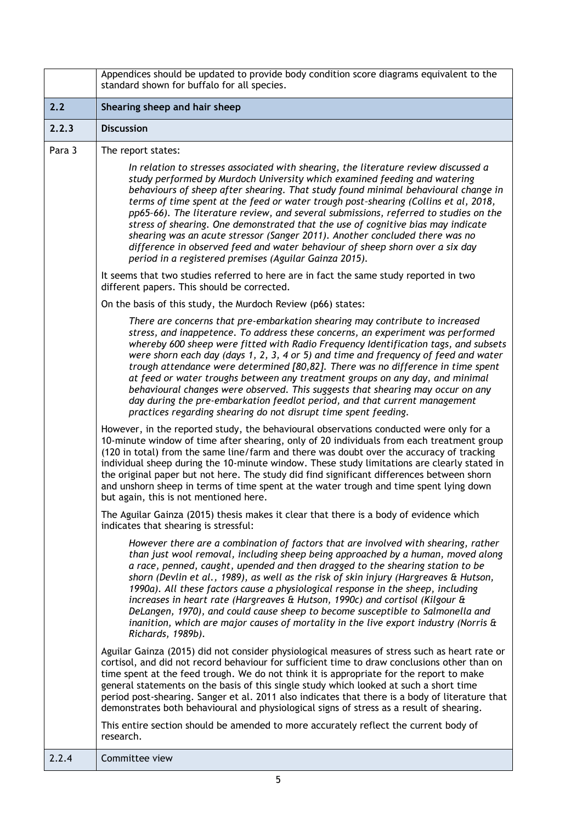|        | Appendices should be updated to provide body condition score diagrams equivalent to the<br>standard shown for buffalo for all species.                                                                                                                                                                                                                                                                                                                                                                                                                                                                                                                                                                                                                 |  |  |  |  |  |
|--------|--------------------------------------------------------------------------------------------------------------------------------------------------------------------------------------------------------------------------------------------------------------------------------------------------------------------------------------------------------------------------------------------------------------------------------------------------------------------------------------------------------------------------------------------------------------------------------------------------------------------------------------------------------------------------------------------------------------------------------------------------------|--|--|--|--|--|
| 2.2    | Shearing sheep and hair sheep                                                                                                                                                                                                                                                                                                                                                                                                                                                                                                                                                                                                                                                                                                                          |  |  |  |  |  |
| 2.2.3  | <b>Discussion</b>                                                                                                                                                                                                                                                                                                                                                                                                                                                                                                                                                                                                                                                                                                                                      |  |  |  |  |  |
| Para 3 | The report states:                                                                                                                                                                                                                                                                                                                                                                                                                                                                                                                                                                                                                                                                                                                                     |  |  |  |  |  |
|        | In relation to stresses associated with shearing, the literature review discussed a<br>study performed by Murdoch University which examined feeding and watering<br>behaviours of sheep after shearing. That study found minimal behavioural change in<br>terms of time spent at the feed or water trough post-shearing (Collins et al, 2018,<br>pp65-66). The literature review, and several submissions, referred to studies on the<br>stress of shearing. One demonstrated that the use of cognitive bias may indicate<br>shearing was an acute stressor (Sanger 2011). Another concluded there was no<br>difference in observed feed and water behaviour of sheep shorn over a six day<br>period in a registered premises (Aguilar Gainza 2015).   |  |  |  |  |  |
|        | It seems that two studies referred to here are in fact the same study reported in two<br>different papers. This should be corrected.                                                                                                                                                                                                                                                                                                                                                                                                                                                                                                                                                                                                                   |  |  |  |  |  |
|        | On the basis of this study, the Murdoch Review (p66) states:                                                                                                                                                                                                                                                                                                                                                                                                                                                                                                                                                                                                                                                                                           |  |  |  |  |  |
|        | There are concerns that pre-embarkation shearing may contribute to increased<br>stress, and inappetence. To address these concerns, an experiment was performed<br>whereby 600 sheep were fitted with Radio Frequency Identification tags, and subsets<br>were shorn each day (days 1, 2, 3, 4 or 5) and time and frequency of feed and water<br>trough attendance were determined [80,82]. There was no difference in time spent<br>at feed or water troughs between any treatment groups on any day, and minimal<br>behavioural changes were observed. This suggests that shearing may occur on any<br>day during the pre-embarkation feedlot period, and that current management<br>practices regarding shearing do not disrupt time spent feeding. |  |  |  |  |  |
|        | However, in the reported study, the behavioural observations conducted were only for a<br>10-minute window of time after shearing, only of 20 individuals from each treatment group<br>(120 in total) from the same line/farm and there was doubt over the accuracy of tracking<br>individual sheep during the 10-minute window. These study limitations are clearly stated in<br>the original paper but not here. The study did find significant differences between shorn<br>and unshorn sheep in terms of time spent at the water trough and time spent lying down<br>but again, this is not mentioned here.                                                                                                                                        |  |  |  |  |  |
|        | The Aguilar Gainza (2015) thesis makes it clear that there is a body of evidence which<br>indicates that shearing is stressful:                                                                                                                                                                                                                                                                                                                                                                                                                                                                                                                                                                                                                        |  |  |  |  |  |
|        | However there are a combination of factors that are involved with shearing, rather<br>than just wool removal, including sheep being approached by a human, moved along<br>a race, penned, caught, upended and then dragged to the shearing station to be<br>shorn (Devlin et al., 1989), as well as the risk of skin injury (Hargreaves & Hutson,<br>1990a). All these factors cause a physiological response in the sheep, including<br>increases in heart rate (Hargreaves & Hutson, 1990c) and cortisol (Kilgour &<br>DeLangen, 1970), and could cause sheep to become susceptible to Salmonella and<br>inanition, which are major causes of mortality in the live export industry (Norris $\hat{a}$<br>Richards, 1989b).                           |  |  |  |  |  |
|        | Aguilar Gainza (2015) did not consider physiological measures of stress such as heart rate or<br>cortisol, and did not record behaviour for sufficient time to draw conclusions other than on<br>time spent at the feed trough. We do not think it is appropriate for the report to make<br>general statements on the basis of this single study which looked at such a short time<br>period post-shearing. Sanger et al. 2011 also indicates that there is a body of literature that<br>demonstrates both behavioural and physiological signs of stress as a result of shearing.                                                                                                                                                                      |  |  |  |  |  |
|        | This entire section should be amended to more accurately reflect the current body of<br>research.                                                                                                                                                                                                                                                                                                                                                                                                                                                                                                                                                                                                                                                      |  |  |  |  |  |
| 2.2.4  | Committee view                                                                                                                                                                                                                                                                                                                                                                                                                                                                                                                                                                                                                                                                                                                                         |  |  |  |  |  |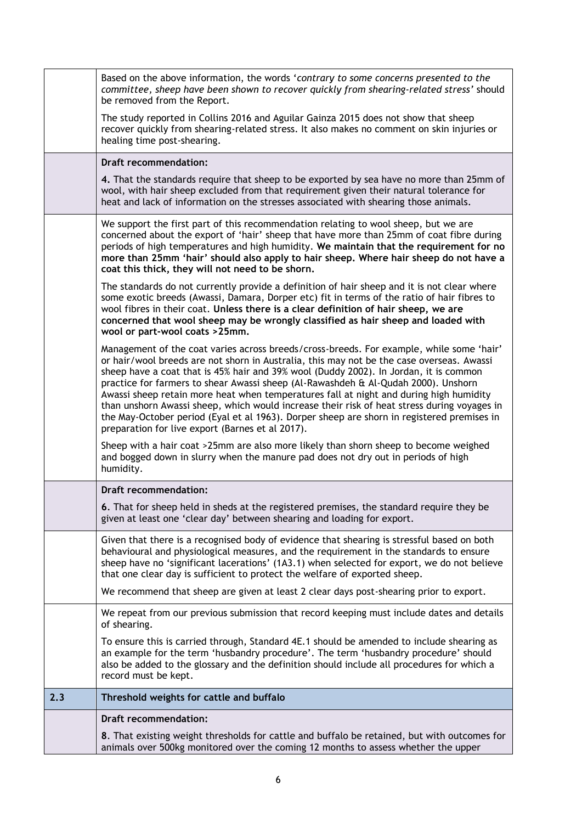|     | <b>Draft recommendation:</b><br>8. That existing weight thresholds for cattle and buffalo be retained, but with outcomes for<br>animals over 500kg monitored over the coming 12 months to assess whether the upper                                                                                                                                                                                                                                                                                                                                                                                                                                                                                              |
|-----|-----------------------------------------------------------------------------------------------------------------------------------------------------------------------------------------------------------------------------------------------------------------------------------------------------------------------------------------------------------------------------------------------------------------------------------------------------------------------------------------------------------------------------------------------------------------------------------------------------------------------------------------------------------------------------------------------------------------|
| 2.3 | Threshold weights for cattle and buffalo                                                                                                                                                                                                                                                                                                                                                                                                                                                                                                                                                                                                                                                                        |
|     | of shearing.<br>To ensure this is carried through, Standard 4E.1 should be amended to include shearing as<br>an example for the term 'husbandry procedure'. The term 'husbandry procedure' should<br>also be added to the glossary and the definition should include all procedures for which a<br>record must be kept.                                                                                                                                                                                                                                                                                                                                                                                         |
|     | We repeat from our previous submission that record keeping must include dates and details                                                                                                                                                                                                                                                                                                                                                                                                                                                                                                                                                                                                                       |
|     | We recommend that sheep are given at least 2 clear days post-shearing prior to export.                                                                                                                                                                                                                                                                                                                                                                                                                                                                                                                                                                                                                          |
|     | Given that there is a recognised body of evidence that shearing is stressful based on both<br>behavioural and physiological measures, and the requirement in the standards to ensure<br>sheep have no 'significant lacerations' (1A3.1) when selected for export, we do not believe<br>that one clear day is sufficient to protect the welfare of exported sheep.                                                                                                                                                                                                                                                                                                                                               |
|     | 6. That for sheep held in sheds at the registered premises, the standard require they be<br>given at least one 'clear day' between shearing and loading for export.                                                                                                                                                                                                                                                                                                                                                                                                                                                                                                                                             |
|     | <b>Draft recommendation:</b>                                                                                                                                                                                                                                                                                                                                                                                                                                                                                                                                                                                                                                                                                    |
|     | Sheep with a hair coat >25mm are also more likely than shorn sheep to become weighed<br>and bogged down in slurry when the manure pad does not dry out in periods of high<br>humidity.                                                                                                                                                                                                                                                                                                                                                                                                                                                                                                                          |
|     | Management of the coat varies across breeds/cross-breeds. For example, while some 'hair'<br>or hair/wool breeds are not shorn in Australia, this may not be the case overseas. Awassi<br>sheep have a coat that is 45% hair and 39% wool (Duddy 2002). In Jordan, it is common<br>practice for farmers to shear Awassi sheep (Al-Rawashdeh & Al-Qudah 2000). Unshorn<br>Awassi sheep retain more heat when temperatures fall at night and during high humidity<br>than unshorn Awassi sheep, which would increase their risk of heat stress during voyages in<br>the May-October period (Eyal et al 1963). Dorper sheep are shorn in registered premises in<br>preparation for live export (Barnes et al 2017). |
|     | The standards do not currently provide a definition of hair sheep and it is not clear where<br>some exotic breeds (Awassi, Damara, Dorper etc) fit in terms of the ratio of hair fibres to<br>wool fibres in their coat. Unless there is a clear definition of hair sheep, we are<br>concerned that wool sheep may be wrongly classified as hair sheep and loaded with<br>wool or part-wool coats >25mm.                                                                                                                                                                                                                                                                                                        |
|     | We support the first part of this recommendation relating to wool sheep, but we are<br>concerned about the export of 'hair' sheep that have more than 25mm of coat fibre during<br>periods of high temperatures and high humidity. We maintain that the requirement for no<br>more than 25mm 'hair' should also apply to hair sheep. Where hair sheep do not have a<br>coat this thick, they will not need to be shorn.                                                                                                                                                                                                                                                                                         |
|     | 4. That the standards require that sheep to be exported by sea have no more than 25mm of<br>wool, with hair sheep excluded from that requirement given their natural tolerance for<br>heat and lack of information on the stresses associated with shearing those animals.                                                                                                                                                                                                                                                                                                                                                                                                                                      |
|     | <b>Draft recommendation:</b>                                                                                                                                                                                                                                                                                                                                                                                                                                                                                                                                                                                                                                                                                    |
|     | The study reported in Collins 2016 and Aguilar Gainza 2015 does not show that sheep<br>recover quickly from shearing-related stress. It also makes no comment on skin injuries or<br>healing time post-shearing.                                                                                                                                                                                                                                                                                                                                                                                                                                                                                                |
|     | Based on the above information, the words 'contrary to some concerns presented to the<br>committee, sheep have been shown to recover quickly from shearing-related stress' should<br>be removed from the Report.                                                                                                                                                                                                                                                                                                                                                                                                                                                                                                |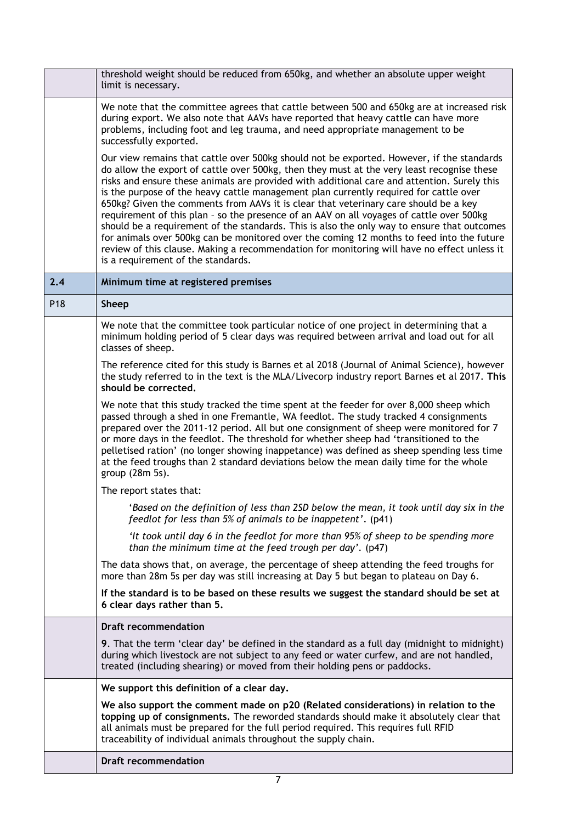|     | threshold weight should be reduced from 650kg, and whether an absolute upper weight<br>limit is necessary.                                                                                                                                                                                                                                                                                                                                                                                                                                                                                                                                                                                                                                                                                                                                                                                           |
|-----|------------------------------------------------------------------------------------------------------------------------------------------------------------------------------------------------------------------------------------------------------------------------------------------------------------------------------------------------------------------------------------------------------------------------------------------------------------------------------------------------------------------------------------------------------------------------------------------------------------------------------------------------------------------------------------------------------------------------------------------------------------------------------------------------------------------------------------------------------------------------------------------------------|
|     | We note that the committee agrees that cattle between 500 and 650kg are at increased risk<br>during export. We also note that AAVs have reported that heavy cattle can have more<br>problems, including foot and leg trauma, and need appropriate management to be<br>successfully exported.                                                                                                                                                                                                                                                                                                                                                                                                                                                                                                                                                                                                         |
|     | Our view remains that cattle over 500kg should not be exported. However, if the standards<br>do allow the export of cattle over 500kg, then they must at the very least recognise these<br>risks and ensure these animals are provided with additional care and attention. Surely this<br>is the purpose of the heavy cattle management plan currently required for cattle over<br>650kg? Given the comments from AAVs it is clear that veterinary care should be a key<br>requirement of this plan - so the presence of an AAV on all voyages of cattle over 500kg<br>should be a requirement of the standards. This is also the only way to ensure that outcomes<br>for animals over 500kg can be monitored over the coming 12 months to feed into the future<br>review of this clause. Making a recommendation for monitoring will have no effect unless it<br>is a requirement of the standards. |
| 2.4 | Minimum time at registered premises                                                                                                                                                                                                                                                                                                                                                                                                                                                                                                                                                                                                                                                                                                                                                                                                                                                                  |
| P18 | <b>Sheep</b>                                                                                                                                                                                                                                                                                                                                                                                                                                                                                                                                                                                                                                                                                                                                                                                                                                                                                         |
|     | We note that the committee took particular notice of one project in determining that a<br>minimum holding period of 5 clear days was required between arrival and load out for all<br>classes of sheep.                                                                                                                                                                                                                                                                                                                                                                                                                                                                                                                                                                                                                                                                                              |
|     | The reference cited for this study is Barnes et al 2018 (Journal of Animal Science), however<br>the study referred to in the text is the MLA/Livecorp industry report Barnes et al 2017. This<br>should be corrected.                                                                                                                                                                                                                                                                                                                                                                                                                                                                                                                                                                                                                                                                                |
|     | We note that this study tracked the time spent at the feeder for over 8,000 sheep which<br>passed through a shed in one Fremantle, WA feedlot. The study tracked 4 consignments<br>prepared over the 2011-12 period. All but one consignment of sheep were monitored for 7<br>or more days in the feedlot. The threshold for whether sheep had 'transitioned to the<br>pelletised ration' (no longer showing inappetance) was defined as sheep spending less time<br>at the feed troughs than 2 standard deviations below the mean daily time for the whole<br>group (28m 5s).                                                                                                                                                                                                                                                                                                                       |
|     | The report states that:                                                                                                                                                                                                                                                                                                                                                                                                                                                                                                                                                                                                                                                                                                                                                                                                                                                                              |
|     | 'Based on the definition of less than 2SD below the mean, it took until day six in the<br>feedlot for less than 5% of animals to be inappetent'. (p41)                                                                                                                                                                                                                                                                                                                                                                                                                                                                                                                                                                                                                                                                                                                                               |
|     | 'It took until day 6 in the feedlot for more than 95% of sheep to be spending more<br>than the minimum time at the feed trough per day'. (p47)                                                                                                                                                                                                                                                                                                                                                                                                                                                                                                                                                                                                                                                                                                                                                       |
|     | The data shows that, on average, the percentage of sheep attending the feed troughs for<br>more than 28m 5s per day was still increasing at Day 5 but began to plateau on Day 6.                                                                                                                                                                                                                                                                                                                                                                                                                                                                                                                                                                                                                                                                                                                     |
|     | If the standard is to be based on these results we suggest the standard should be set at<br>6 clear days rather than 5.                                                                                                                                                                                                                                                                                                                                                                                                                                                                                                                                                                                                                                                                                                                                                                              |
|     | <b>Draft recommendation</b>                                                                                                                                                                                                                                                                                                                                                                                                                                                                                                                                                                                                                                                                                                                                                                                                                                                                          |
|     | 9. That the term 'clear day' be defined in the standard as a full day (midnight to midnight)<br>during which livestock are not subject to any feed or water curfew, and are not handled,<br>treated (including shearing) or moved from their holding pens or paddocks.                                                                                                                                                                                                                                                                                                                                                                                                                                                                                                                                                                                                                               |
|     | We support this definition of a clear day.                                                                                                                                                                                                                                                                                                                                                                                                                                                                                                                                                                                                                                                                                                                                                                                                                                                           |
|     | We also support the comment made on p20 (Related considerations) in relation to the<br>topping up of consignments. The reworded standards should make it absolutely clear that<br>all animals must be prepared for the full period required. This requires full RFID<br>traceability of individual animals throughout the supply chain.                                                                                                                                                                                                                                                                                                                                                                                                                                                                                                                                                              |
|     | <b>Draft recommendation</b>                                                                                                                                                                                                                                                                                                                                                                                                                                                                                                                                                                                                                                                                                                                                                                                                                                                                          |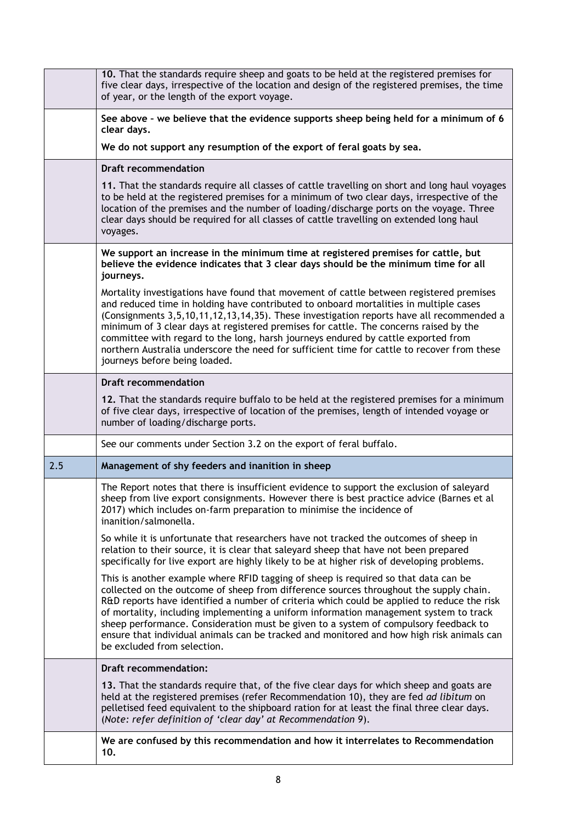|     | 10. That the standards require sheep and goats to be held at the registered premises for<br>five clear days, irrespective of the location and design of the registered premises, the time<br>of year, or the length of the export voyage.                                                                                                                                                                                                                                                                                                                                                  |
|-----|--------------------------------------------------------------------------------------------------------------------------------------------------------------------------------------------------------------------------------------------------------------------------------------------------------------------------------------------------------------------------------------------------------------------------------------------------------------------------------------------------------------------------------------------------------------------------------------------|
|     | See above - we believe that the evidence supports sheep being held for a minimum of 6<br>clear days.                                                                                                                                                                                                                                                                                                                                                                                                                                                                                       |
|     | We do not support any resumption of the export of feral goats by sea.                                                                                                                                                                                                                                                                                                                                                                                                                                                                                                                      |
|     | <b>Draft recommendation</b>                                                                                                                                                                                                                                                                                                                                                                                                                                                                                                                                                                |
|     | 11. That the standards require all classes of cattle travelling on short and long haul voyages<br>to be held at the registered premises for a minimum of two clear days, irrespective of the<br>location of the premises and the number of loading/discharge ports on the voyage. Three<br>clear days should be required for all classes of cattle travelling on extended long haul<br>voyages.                                                                                                                                                                                            |
|     | We support an increase in the minimum time at registered premises for cattle, but<br>believe the evidence indicates that 3 clear days should be the minimum time for all<br>journeys.                                                                                                                                                                                                                                                                                                                                                                                                      |
|     | Mortality investigations have found that movement of cattle between registered premises<br>and reduced time in holding have contributed to onboard mortalities in multiple cases<br>(Consignments 3,5,10,11,12,13,14,35). These investigation reports have all recommended a<br>minimum of 3 clear days at registered premises for cattle. The concerns raised by the<br>committee with regard to the long, harsh journeys endured by cattle exported from<br>northern Australia underscore the need for sufficient time for cattle to recover from these<br>journeys before being loaded. |
|     | <b>Draft recommendation</b>                                                                                                                                                                                                                                                                                                                                                                                                                                                                                                                                                                |
|     | 12. That the standards require buffalo to be held at the registered premises for a minimum<br>of five clear days, irrespective of location of the premises, length of intended voyage or<br>number of loading/discharge ports.                                                                                                                                                                                                                                                                                                                                                             |
|     | See our comments under Section 3.2 on the export of feral buffalo.                                                                                                                                                                                                                                                                                                                                                                                                                                                                                                                         |
| 2.5 | Management of shy feeders and inanition in sheep                                                                                                                                                                                                                                                                                                                                                                                                                                                                                                                                           |
|     | The Report notes that there is insufficient evidence to support the exclusion of saleyard<br>sheep from live export consignments. However there is best practice advice (Barnes et al<br>2017) which includes on-farm preparation to minimise the incidence of<br>inanition/salmonella.                                                                                                                                                                                                                                                                                                    |
|     | So while it is unfortunate that researchers have not tracked the outcomes of sheep in<br>relation to their source, it is clear that saleyard sheep that have not been prepared<br>specifically for live export are highly likely to be at higher risk of developing problems.                                                                                                                                                                                                                                                                                                              |
|     | This is another example where RFID tagging of sheep is required so that data can be<br>collected on the outcome of sheep from difference sources throughout the supply chain.<br>R&D reports have identified a number of criteria which could be applied to reduce the risk<br>of mortality, including implementing a uniform information management system to track<br>sheep performance. Consideration must be given to a system of compulsory feedback to<br>ensure that individual animals can be tracked and monitored and how high risk animals can<br>be excluded from selection.   |
|     | <b>Draft recommendation:</b>                                                                                                                                                                                                                                                                                                                                                                                                                                                                                                                                                               |
|     | 13. That the standards require that, of the five clear days for which sheep and goats are<br>held at the registered premises (refer Recommendation 10), they are fed ad libitum on<br>pelletised feed equivalent to the shipboard ration for at least the final three clear days.<br>(Note: refer definition of 'clear day' at Recommendation 9).                                                                                                                                                                                                                                          |
|     | We are confused by this recommendation and how it interrelates to Recommendation<br>10.                                                                                                                                                                                                                                                                                                                                                                                                                                                                                                    |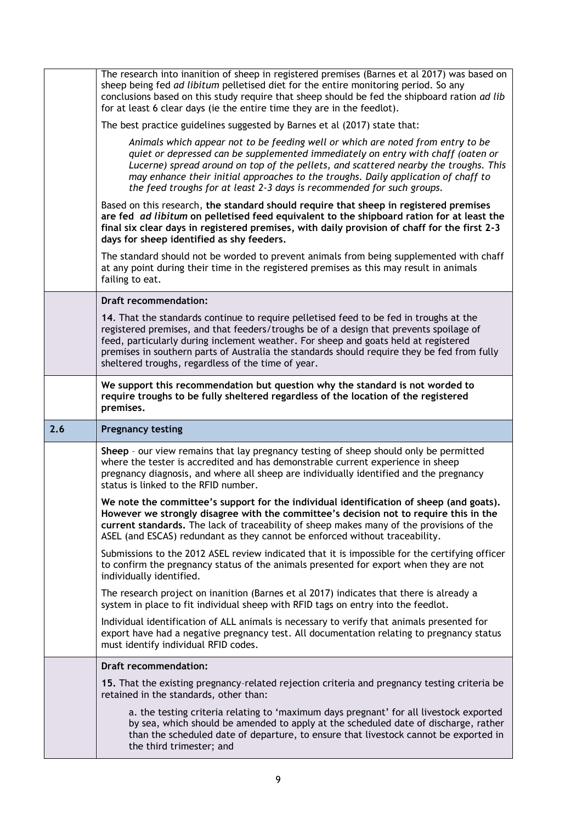|     | The research into inanition of sheep in registered premises (Barnes et al 2017) was based on<br>sheep being fed ad libitum pelletised diet for the entire monitoring period. So any<br>conclusions based on this study require that sheep should be fed the shipboard ration ad lib<br>for at least 6 clear days (ie the entire time they are in the feedlot).                                                               |
|-----|------------------------------------------------------------------------------------------------------------------------------------------------------------------------------------------------------------------------------------------------------------------------------------------------------------------------------------------------------------------------------------------------------------------------------|
|     | The best practice guidelines suggested by Barnes et al (2017) state that:                                                                                                                                                                                                                                                                                                                                                    |
|     | Animals which appear not to be feeding well or which are noted from entry to be<br>quiet or depressed can be supplemented immediately on entry with chaff (oaten or<br>Lucerne) spread around on top of the pellets, and scattered nearby the troughs. This<br>may enhance their initial approaches to the troughs. Daily application of chaff to<br>the feed troughs for at least 2-3 days is recommended for such groups.  |
|     | Based on this research, the standard should require that sheep in registered premises<br>are fed ad libitum on pelletised feed equivalent to the shipboard ration for at least the<br>final six clear days in registered premises, with daily provision of chaff for the first 2-3<br>days for sheep identified as shy feeders.                                                                                              |
|     | The standard should not be worded to prevent animals from being supplemented with chaff<br>at any point during their time in the registered premises as this may result in animals<br>failing to eat.                                                                                                                                                                                                                        |
|     | <b>Draft recommendation:</b>                                                                                                                                                                                                                                                                                                                                                                                                 |
|     | 14. That the standards continue to require pelletised feed to be fed in troughs at the<br>registered premises, and that feeders/troughs be of a design that prevents spoilage of<br>feed, particularly during inclement weather. For sheep and goats held at registered<br>premises in southern parts of Australia the standards should require they be fed from fully<br>sheltered troughs, regardless of the time of year. |
|     | We support this recommendation but question why the standard is not worded to<br>require troughs to be fully sheltered regardless of the location of the registered<br>premises.                                                                                                                                                                                                                                             |
|     |                                                                                                                                                                                                                                                                                                                                                                                                                              |
| 2.6 | <b>Pregnancy testing</b>                                                                                                                                                                                                                                                                                                                                                                                                     |
|     | Sheep - our view remains that lay pregnancy testing of sheep should only be permitted<br>where the tester is accredited and has demonstrable current experience in sheep<br>pregnancy diagnosis, and where all sheep are individually identified and the pregnancy<br>status is linked to the RFID number.                                                                                                                   |
|     | We note the committee's support for the individual identification of sheep (and goats).<br>However we strongly disagree with the committee's decision not to require this in the<br>current standards. The lack of traceability of sheep makes many of the provisions of the<br>ASEL (and ESCAS) redundant as they cannot be enforced without traceability.                                                                  |
|     | Submissions to the 2012 ASEL review indicated that it is impossible for the certifying officer<br>to confirm the pregnancy status of the animals presented for export when they are not<br>individually identified.                                                                                                                                                                                                          |
|     | The research project on inanition (Barnes et al 2017) indicates that there is already a<br>system in place to fit individual sheep with RFID tags on entry into the feedlot.                                                                                                                                                                                                                                                 |
|     | Individual identification of ALL animals is necessary to verify that animals presented for<br>export have had a negative pregnancy test. All documentation relating to pregnancy status<br>must identify individual RFID codes.                                                                                                                                                                                              |
|     | <b>Draft recommendation:</b>                                                                                                                                                                                                                                                                                                                                                                                                 |
|     | 15. That the existing pregnancy-related rejection criteria and pregnancy testing criteria be<br>retained in the standards, other than:                                                                                                                                                                                                                                                                                       |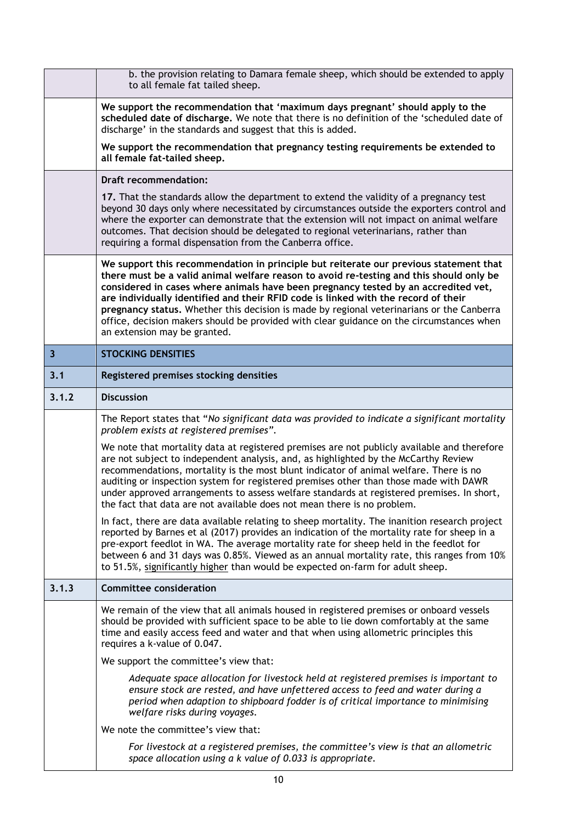|                         | b. the provision relating to Damara female sheep, which should be extended to apply<br>to all female fat tailed sheep.                                                                                                                                                                                                                                                                                                                                                                                                                                                                |  |  |  |  |  |  |
|-------------------------|---------------------------------------------------------------------------------------------------------------------------------------------------------------------------------------------------------------------------------------------------------------------------------------------------------------------------------------------------------------------------------------------------------------------------------------------------------------------------------------------------------------------------------------------------------------------------------------|--|--|--|--|--|--|
|                         | We support the recommendation that 'maximum days pregnant' should apply to the<br>scheduled date of discharge. We note that there is no definition of the 'scheduled date of<br>discharge' in the standards and suggest that this is added.                                                                                                                                                                                                                                                                                                                                           |  |  |  |  |  |  |
|                         | We support the recommendation that pregnancy testing requirements be extended to<br>all female fat-tailed sheep.                                                                                                                                                                                                                                                                                                                                                                                                                                                                      |  |  |  |  |  |  |
|                         | <b>Draft recommendation:</b>                                                                                                                                                                                                                                                                                                                                                                                                                                                                                                                                                          |  |  |  |  |  |  |
|                         | 17. That the standards allow the department to extend the validity of a pregnancy test<br>beyond 30 days only where necessitated by circumstances outside the exporters control and<br>where the exporter can demonstrate that the extension will not impact on animal welfare<br>outcomes. That decision should be delegated to regional veterinarians, rather than<br>requiring a formal dispensation from the Canberra office.                                                                                                                                                     |  |  |  |  |  |  |
|                         | We support this recommendation in principle but reiterate our previous statement that<br>there must be a valid animal welfare reason to avoid re-testing and this should only be<br>considered in cases where animals have been pregnancy tested by an accredited vet,<br>are individually identified and their RFID code is linked with the record of their<br>pregnancy status. Whether this decision is made by regional veterinarians or the Canberra<br>office, decision makers should be provided with clear guidance on the circumstances when<br>an extension may be granted. |  |  |  |  |  |  |
| $\overline{\mathbf{3}}$ | <b>STOCKING DENSITIES</b>                                                                                                                                                                                                                                                                                                                                                                                                                                                                                                                                                             |  |  |  |  |  |  |
| 3.1                     | Registered premises stocking densities                                                                                                                                                                                                                                                                                                                                                                                                                                                                                                                                                |  |  |  |  |  |  |
| 3.1.2                   | <b>Discussion</b>                                                                                                                                                                                                                                                                                                                                                                                                                                                                                                                                                                     |  |  |  |  |  |  |
|                         | The Report states that "No significant data was provided to indicate a significant mortality                                                                                                                                                                                                                                                                                                                                                                                                                                                                                          |  |  |  |  |  |  |
|                         | problem exists at registered premises".                                                                                                                                                                                                                                                                                                                                                                                                                                                                                                                                               |  |  |  |  |  |  |
|                         | We note that mortality data at registered premises are not publicly available and therefore<br>are not subject to independent analysis, and, as highlighted by the McCarthy Review<br>recommendations, mortality is the most blunt indicator of animal welfare. There is no<br>auditing or inspection system for registered premises other than those made with DAWR<br>under approved arrangements to assess welfare standards at registered premises. In short,<br>the fact that data are not available does not mean there is no problem.                                          |  |  |  |  |  |  |
|                         | In fact, there are data available relating to sheep mortality. The inanition research project<br>reported by Barnes et al (2017) provides an indication of the mortality rate for sheep in a<br>pre-export feedlot in WA. The average mortality rate for sheep held in the feedlot for<br>between 6 and 31 days was 0.85%. Viewed as an annual mortality rate, this ranges from 10%<br>to 51.5%, significantly higher than would be expected on-farm for adult sheep.                                                                                                                 |  |  |  |  |  |  |
| 3.1.3                   | <b>Committee consideration</b>                                                                                                                                                                                                                                                                                                                                                                                                                                                                                                                                                        |  |  |  |  |  |  |
|                         | We remain of the view that all animals housed in registered premises or onboard vessels<br>should be provided with sufficient space to be able to lie down comfortably at the same<br>time and easily access feed and water and that when using allometric principles this<br>requires a k-value of 0.047.                                                                                                                                                                                                                                                                            |  |  |  |  |  |  |
|                         | We support the committee's view that:                                                                                                                                                                                                                                                                                                                                                                                                                                                                                                                                                 |  |  |  |  |  |  |
|                         | Adequate space allocation for livestock held at registered premises is important to<br>ensure stock are rested, and have unfettered access to feed and water during a<br>period when adaption to shipboard fodder is of critical importance to minimising<br>welfare risks during voyages.                                                                                                                                                                                                                                                                                            |  |  |  |  |  |  |
|                         | We note the committee's view that:                                                                                                                                                                                                                                                                                                                                                                                                                                                                                                                                                    |  |  |  |  |  |  |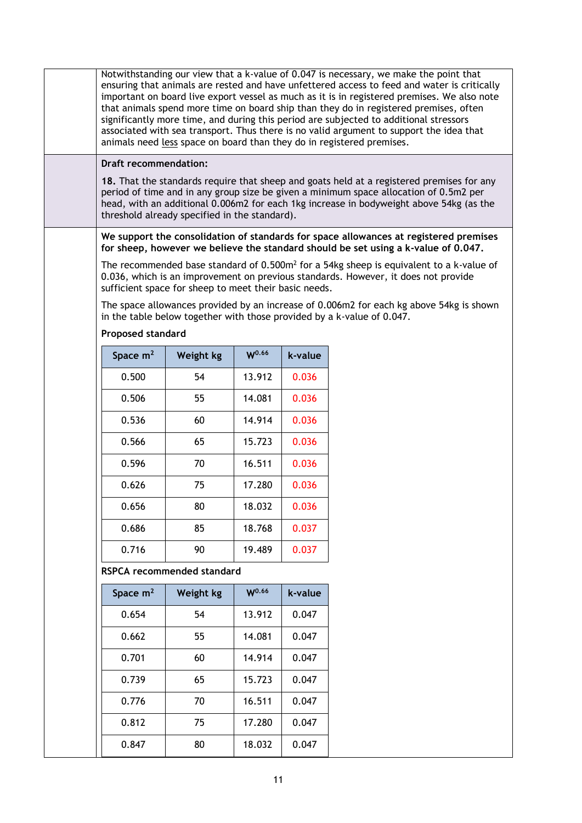| Notwithstanding our view that a k-value of 0.047 is necessary, we make the point that<br>ensuring that animals are rested and have unfettered access to feed and water is critically<br>important on board live export vessel as much as it is in registered premises. We also note<br>that animals spend more time on board ship than they do in registered premises, often<br>significantly more time, and during this period are subjected to additional stressors<br>associated with sea transport. Thus there is no valid argument to support the idea that<br>animals need less space on board than they do in registered premises. |                                                       |                   |         |                                                                                                                                                                                  |  |  |  |
|-------------------------------------------------------------------------------------------------------------------------------------------------------------------------------------------------------------------------------------------------------------------------------------------------------------------------------------------------------------------------------------------------------------------------------------------------------------------------------------------------------------------------------------------------------------------------------------------------------------------------------------------|-------------------------------------------------------|-------------------|---------|----------------------------------------------------------------------------------------------------------------------------------------------------------------------------------|--|--|--|
| <b>Draft recommendation:</b>                                                                                                                                                                                                                                                                                                                                                                                                                                                                                                                                                                                                              |                                                       |                   |         |                                                                                                                                                                                  |  |  |  |
| 18. That the standards require that sheep and goats held at a registered premises for any<br>period of time and in any group size be given a minimum space allocation of 0.5m2 per<br>head, with an additional 0.006m2 for each 1kg increase in bodyweight above 54kg (as the<br>threshold already specified in the standard).                                                                                                                                                                                                                                                                                                            |                                                       |                   |         |                                                                                                                                                                                  |  |  |  |
| We support the consolidation of standards for space allowances at registered premises<br>for sheep, however we believe the standard should be set using a k-value of 0.047.                                                                                                                                                                                                                                                                                                                                                                                                                                                               |                                                       |                   |         |                                                                                                                                                                                  |  |  |  |
|                                                                                                                                                                                                                                                                                                                                                                                                                                                                                                                                                                                                                                           | sufficient space for sheep to meet their basic needs. |                   |         | The recommended base standard of $0.500m^2$ for a 54kg sheep is equivalent to a k-value of<br>0.036, which is an improvement on previous standards. However, it does not provide |  |  |  |
|                                                                                                                                                                                                                                                                                                                                                                                                                                                                                                                                                                                                                                           |                                                       |                   |         | The space allowances provided by an increase of 0.006m2 for each kg above 54kg is shown<br>in the table below together with those provided by a k-value of 0.047.                |  |  |  |
| <b>Proposed standard</b>                                                                                                                                                                                                                                                                                                                                                                                                                                                                                                                                                                                                                  |                                                       |                   |         |                                                                                                                                                                                  |  |  |  |
| Space $m2$                                                                                                                                                                                                                                                                                                                                                                                                                                                                                                                                                                                                                                | Weight kg                                             | W <sup>0.66</sup> | k-value |                                                                                                                                                                                  |  |  |  |
| 0.500                                                                                                                                                                                                                                                                                                                                                                                                                                                                                                                                                                                                                                     | 54                                                    | 13.912            | 0.036   |                                                                                                                                                                                  |  |  |  |
| 0.506                                                                                                                                                                                                                                                                                                                                                                                                                                                                                                                                                                                                                                     | 55                                                    | 14.081            | 0.036   |                                                                                                                                                                                  |  |  |  |
| 0.536                                                                                                                                                                                                                                                                                                                                                                                                                                                                                                                                                                                                                                     | 60                                                    | 14.914            | 0.036   |                                                                                                                                                                                  |  |  |  |
| 0.566                                                                                                                                                                                                                                                                                                                                                                                                                                                                                                                                                                                                                                     | 65                                                    | 15.723            | 0.036   |                                                                                                                                                                                  |  |  |  |
| 0.596                                                                                                                                                                                                                                                                                                                                                                                                                                                                                                                                                                                                                                     | 70                                                    | 16.511            | 0.036   |                                                                                                                                                                                  |  |  |  |
| 0.626                                                                                                                                                                                                                                                                                                                                                                                                                                                                                                                                                                                                                                     | 75                                                    | 17.280            | 0.036   |                                                                                                                                                                                  |  |  |  |
| 0.656                                                                                                                                                                                                                                                                                                                                                                                                                                                                                                                                                                                                                                     | 80                                                    | 18.032            | 0.036   |                                                                                                                                                                                  |  |  |  |
| 0.686                                                                                                                                                                                                                                                                                                                                                                                                                                                                                                                                                                                                                                     | 85                                                    | 18.768            | 0.037   |                                                                                                                                                                                  |  |  |  |
| 0.716                                                                                                                                                                                                                                                                                                                                                                                                                                                                                                                                                                                                                                     | 90                                                    | 19.489            | 0.037   |                                                                                                                                                                                  |  |  |  |
|                                                                                                                                                                                                                                                                                                                                                                                                                                                                                                                                                                                                                                           | RSPCA recommended standard                            |                   |         |                                                                                                                                                                                  |  |  |  |
| Space $m2$                                                                                                                                                                                                                                                                                                                                                                                                                                                                                                                                                                                                                                | Weight kg                                             | W <sup>0.66</sup> | k-value |                                                                                                                                                                                  |  |  |  |
| 0.654                                                                                                                                                                                                                                                                                                                                                                                                                                                                                                                                                                                                                                     | 54                                                    | 13.912            | 0.047   |                                                                                                                                                                                  |  |  |  |
| 0.662                                                                                                                                                                                                                                                                                                                                                                                                                                                                                                                                                                                                                                     | 55                                                    | 14.081            | 0.047   |                                                                                                                                                                                  |  |  |  |
| 0.701                                                                                                                                                                                                                                                                                                                                                                                                                                                                                                                                                                                                                                     | 60                                                    | 14.914            | 0.047   |                                                                                                                                                                                  |  |  |  |
| 0.739                                                                                                                                                                                                                                                                                                                                                                                                                                                                                                                                                                                                                                     | 65                                                    | 15.723            | 0.047   |                                                                                                                                                                                  |  |  |  |
| 0.776                                                                                                                                                                                                                                                                                                                                                                                                                                                                                                                                                                                                                                     | 70                                                    | 16.511            | 0.047   |                                                                                                                                                                                  |  |  |  |
| 0.812                                                                                                                                                                                                                                                                                                                                                                                                                                                                                                                                                                                                                                     | 75                                                    | 17.280            | 0.047   |                                                                                                                                                                                  |  |  |  |
| 0.847                                                                                                                                                                                                                                                                                                                                                                                                                                                                                                                                                                                                                                     | 80                                                    | 18.032            | 0.047   |                                                                                                                                                                                  |  |  |  |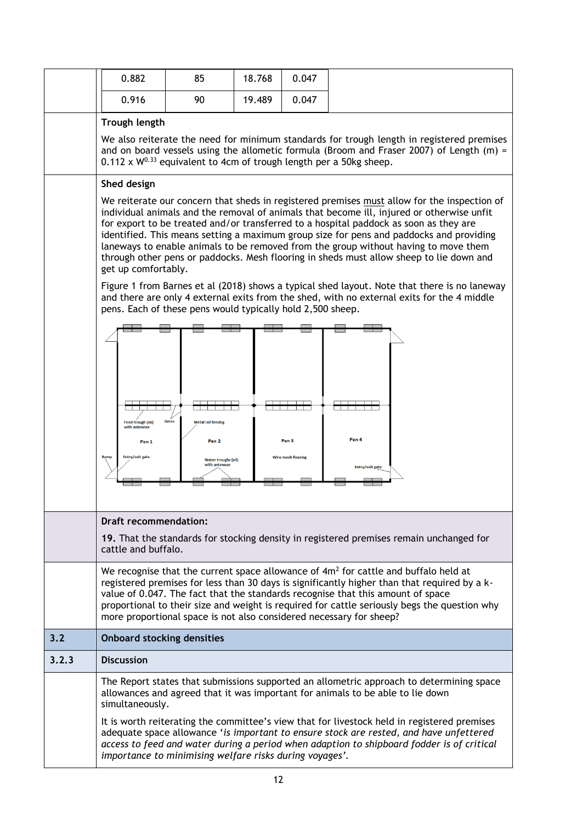|       | 0.882                                                                                                                                                                                                                                                                                                                                                                                                                                                                                                                                                                                 | 85                                                                                            | 18.768 | 0.047                                         |                                                                                                                                                                            |  |  |
|-------|---------------------------------------------------------------------------------------------------------------------------------------------------------------------------------------------------------------------------------------------------------------------------------------------------------------------------------------------------------------------------------------------------------------------------------------------------------------------------------------------------------------------------------------------------------------------------------------|-----------------------------------------------------------------------------------------------|--------|-----------------------------------------------|----------------------------------------------------------------------------------------------------------------------------------------------------------------------------|--|--|
|       | 0.916                                                                                                                                                                                                                                                                                                                                                                                                                                                                                                                                                                                 | 90                                                                                            | 19.489 | 0.047                                         |                                                                                                                                                                            |  |  |
|       | Trough length                                                                                                                                                                                                                                                                                                                                                                                                                                                                                                                                                                         |                                                                                               |        |                                               |                                                                                                                                                                            |  |  |
|       | We also reiterate the need for minimum standards for trough length in registered premises<br>and on board vessels using the allometic formula (Broom and Fraser 2007) of Length (m) =<br>$0.112 \times W^{0.33}$ equivalent to 4cm of trough length per a 50kg sheep.                                                                                                                                                                                                                                                                                                                 |                                                                                               |        |                                               |                                                                                                                                                                            |  |  |
|       | Shed design                                                                                                                                                                                                                                                                                                                                                                                                                                                                                                                                                                           |                                                                                               |        |                                               |                                                                                                                                                                            |  |  |
|       | We reiterate our concern that sheds in registered premises must allow for the inspection of<br>individual animals and the removal of animals that become ill, injured or otherwise unfit<br>for export to be treated and/or transferred to a hospital paddock as soon as they are<br>identified. This means setting a maximum group size for pens and paddocks and providing<br>laneways to enable animals to be removed from the group without having to move them<br>through other pens or paddocks. Mesh flooring in sheds must allow sheep to lie down and<br>get up comfortably. |                                                                                               |        |                                               |                                                                                                                                                                            |  |  |
|       | Figure 1 from Barnes et al (2018) shows a typical shed layout. Note that there is no laneway<br>and there are only 4 external exits from the shed, with no external exits for the 4 middle<br>pens. Each of these pens would typically hold 2,500 sheep.                                                                                                                                                                                                                                                                                                                              |                                                                                               |        |                                               |                                                                                                                                                                            |  |  |
|       | Feed trough (x6)<br>with antennae<br>Pen <sub>1</sub><br>Entry/exit gate<br>Ramp                                                                                                                                                                                                                                                                                                                                                                                                                                                                                                      | Gates<br><b>Metal rail fencing</b><br>Pen <sub>2</sub><br>Water troughs (x3)<br>with antennae |        | Pen <sub>3</sub><br><b>Wire mesh flooring</b> | Pen 4<br>Entry/exit gate                                                                                                                                                   |  |  |
|       |                                                                                                                                                                                                                                                                                                                                                                                                                                                                                                                                                                                       |                                                                                               |        |                                               |                                                                                                                                                                            |  |  |
|       | Draft recommendation:<br>19. That the standards for stocking density in registered premises remain unchanged for<br>cattle and buffalo.                                                                                                                                                                                                                                                                                                                                                                                                                                               |                                                                                               |        |                                               |                                                                                                                                                                            |  |  |
|       | We recognise that the current space allowance of 4m <sup>2</sup> for cattle and buffalo held at<br>registered premises for less than 30 days is significantly higher than that required by a k-<br>value of 0.047. The fact that the standards recognise that this amount of space<br>proportional to their size and weight is required for cattle seriously begs the question why<br>more proportional space is not also considered necessary for sheep?                                                                                                                             |                                                                                               |        |                                               |                                                                                                                                                                            |  |  |
| 3.2   | <b>Onboard stocking densities</b>                                                                                                                                                                                                                                                                                                                                                                                                                                                                                                                                                     |                                                                                               |        |                                               |                                                                                                                                                                            |  |  |
| 3.2.3 | <b>Discussion</b>                                                                                                                                                                                                                                                                                                                                                                                                                                                                                                                                                                     |                                                                                               |        |                                               |                                                                                                                                                                            |  |  |
|       | simultaneously.                                                                                                                                                                                                                                                                                                                                                                                                                                                                                                                                                                       |                                                                                               |        |                                               | The Report states that submissions supported an allometric approach to determining space<br>allowances and agreed that it was important for animals to be able to lie down |  |  |
|       | It is worth reiterating the committee's view that for livestock held in registered premises<br>adequate space allowance 'is important to ensure stock are rested, and have unfettered<br>access to feed and water during a period when adaption to shipboard fodder is of critical<br>importance to minimising welfare risks during voyages'.                                                                                                                                                                                                                                         |                                                                                               |        |                                               |                                                                                                                                                                            |  |  |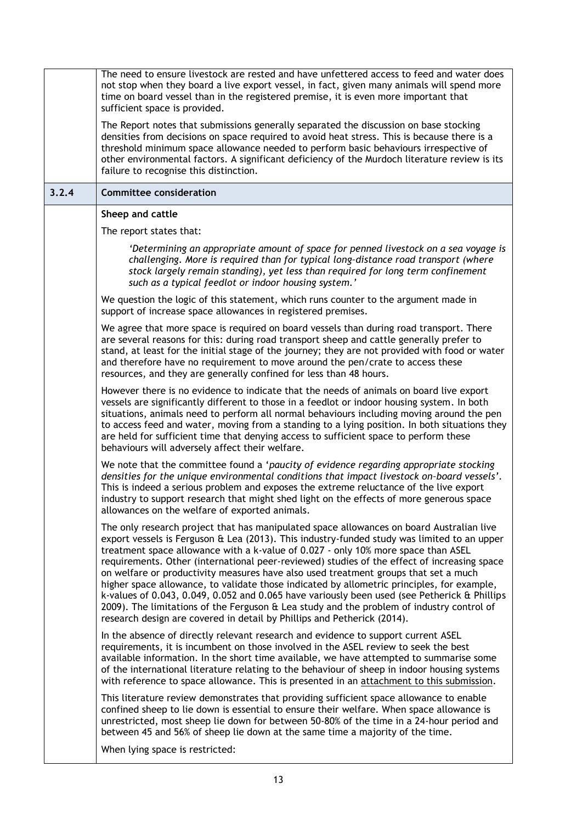|       | The need to ensure livestock are rested and have unfettered access to feed and water does<br>not stop when they board a live export vessel, in fact, given many animals will spend more<br>time on board vessel than in the registered premise, it is even more important that<br>sufficient space is provided.                                                                                                                                                                                                                                                                                                                                                                                                                                                                                                                          |
|-------|------------------------------------------------------------------------------------------------------------------------------------------------------------------------------------------------------------------------------------------------------------------------------------------------------------------------------------------------------------------------------------------------------------------------------------------------------------------------------------------------------------------------------------------------------------------------------------------------------------------------------------------------------------------------------------------------------------------------------------------------------------------------------------------------------------------------------------------|
|       | The Report notes that submissions generally separated the discussion on base stocking<br>densities from decisions on space required to avoid heat stress. This is because there is a<br>threshold minimum space allowance needed to perform basic behaviours irrespective of<br>other environmental factors. A significant deficiency of the Murdoch literature review is its<br>failure to recognise this distinction.                                                                                                                                                                                                                                                                                                                                                                                                                  |
| 3.2.4 | <b>Committee consideration</b>                                                                                                                                                                                                                                                                                                                                                                                                                                                                                                                                                                                                                                                                                                                                                                                                           |
|       | Sheep and cattle                                                                                                                                                                                                                                                                                                                                                                                                                                                                                                                                                                                                                                                                                                                                                                                                                         |
|       | The report states that:                                                                                                                                                                                                                                                                                                                                                                                                                                                                                                                                                                                                                                                                                                                                                                                                                  |
|       | 'Determining an appropriate amount of space for penned livestock on a sea voyage is<br>challenging. More is required than for typical long-distance road transport (where<br>stock largely remain standing), yet less than required for long term confinement<br>such as a typical feedlot or indoor housing system.'                                                                                                                                                                                                                                                                                                                                                                                                                                                                                                                    |
|       | We question the logic of this statement, which runs counter to the argument made in<br>support of increase space allowances in registered premises.                                                                                                                                                                                                                                                                                                                                                                                                                                                                                                                                                                                                                                                                                      |
|       | We agree that more space is required on board vessels than during road transport. There<br>are several reasons for this: during road transport sheep and cattle generally prefer to<br>stand, at least for the initial stage of the journey; they are not provided with food or water<br>and therefore have no requirement to move around the pen/crate to access these<br>resources, and they are generally confined for less than 48 hours.                                                                                                                                                                                                                                                                                                                                                                                            |
|       | However there is no evidence to indicate that the needs of animals on board live export<br>vessels are significantly different to those in a feedlot or indoor housing system. In both<br>situations, animals need to perform all normal behaviours including moving around the pen<br>to access feed and water, moving from a standing to a lying position. In both situations they<br>are held for sufficient time that denying access to sufficient space to perform these<br>behaviours will adversely affect their welfare.                                                                                                                                                                                                                                                                                                         |
|       | We note that the committee found a 'paucity of evidence regarding appropriate stocking<br>densities for the unique environmental conditions that impact livestock on-board vessels'.<br>This is indeed a serious problem and exposes the extreme reluctance of the live export<br>industry to support research that might shed light on the effects of more generous space<br>allowances on the welfare of exported animals.                                                                                                                                                                                                                                                                                                                                                                                                             |
|       | The only research project that has manipulated space allowances on board Australian live<br>export vessels is Ferguson & Lea (2013). This industry-funded study was limited to an upper<br>treatment space allowance with a k-value of 0.027 - only 10% more space than ASEL<br>requirements. Other (international peer-reviewed) studies of the effect of increasing space<br>on welfare or productivity measures have also used treatment groups that set a much<br>higher space allowance, to validate those indicated by allometric principles, for example,<br>k-values of 0.043, 0.049, 0.052 and 0.065 have variously been used (see Petherick & Phillips<br>2009). The limitations of the Ferguson & Lea study and the problem of industry control of<br>research design are covered in detail by Phillips and Petherick (2014). |
|       | In the absence of directly relevant research and evidence to support current ASEL<br>requirements, it is incumbent on those involved in the ASEL review to seek the best<br>available information. In the short time available, we have attempted to summarise some<br>of the international literature relating to the behaviour of sheep in indoor housing systems<br>with reference to space allowance. This is presented in an attachment to this submission.                                                                                                                                                                                                                                                                                                                                                                         |
|       | This literature review demonstrates that providing sufficient space allowance to enable<br>confined sheep to lie down is essential to ensure their welfare. When space allowance is<br>unrestricted, most sheep lie down for between 50-80% of the time in a 24-hour period and<br>between 45 and 56% of sheep lie down at the same time a majority of the time.                                                                                                                                                                                                                                                                                                                                                                                                                                                                         |
|       | When lying space is restricted:                                                                                                                                                                                                                                                                                                                                                                                                                                                                                                                                                                                                                                                                                                                                                                                                          |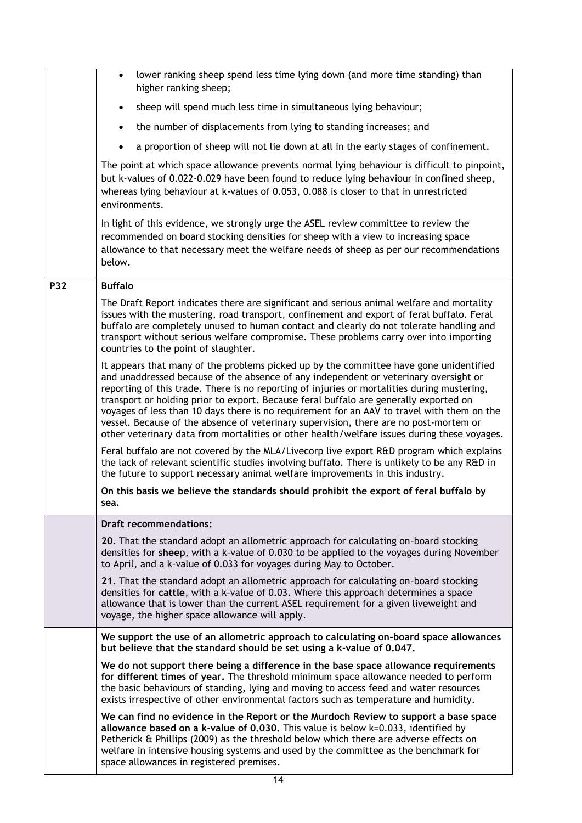|            | lower ranking sheep spend less time lying down (and more time standing) than<br>$\bullet$<br>higher ranking sheep;                                                                                                                                                                                                                                                                                                                                                                                                                                                                                                                                           |
|------------|--------------------------------------------------------------------------------------------------------------------------------------------------------------------------------------------------------------------------------------------------------------------------------------------------------------------------------------------------------------------------------------------------------------------------------------------------------------------------------------------------------------------------------------------------------------------------------------------------------------------------------------------------------------|
|            | sheep will spend much less time in simultaneous lying behaviour;<br>$\bullet$                                                                                                                                                                                                                                                                                                                                                                                                                                                                                                                                                                                |
|            | the number of displacements from lying to standing increases; and<br>$\bullet$                                                                                                                                                                                                                                                                                                                                                                                                                                                                                                                                                                               |
|            | a proportion of sheep will not lie down at all in the early stages of confinement.<br>$\bullet$                                                                                                                                                                                                                                                                                                                                                                                                                                                                                                                                                              |
|            | The point at which space allowance prevents normal lying behaviour is difficult to pinpoint,<br>but k-values of 0.022-0.029 have been found to reduce lying behaviour in confined sheep,<br>whereas lying behaviour at k-values of 0.053, 0.088 is closer to that in unrestricted<br>environments.                                                                                                                                                                                                                                                                                                                                                           |
|            | In light of this evidence, we strongly urge the ASEL review committee to review the<br>recommended on board stocking densities for sheep with a view to increasing space<br>allowance to that necessary meet the welfare needs of sheep as per our recommendations<br>below.                                                                                                                                                                                                                                                                                                                                                                                 |
| <b>P32</b> | <b>Buffalo</b>                                                                                                                                                                                                                                                                                                                                                                                                                                                                                                                                                                                                                                               |
|            | The Draft Report indicates there are significant and serious animal welfare and mortality<br>issues with the mustering, road transport, confinement and export of feral buffalo. Feral<br>buffalo are completely unused to human contact and clearly do not tolerate handling and<br>transport without serious welfare compromise. These problems carry over into importing<br>countries to the point of slaughter.                                                                                                                                                                                                                                          |
|            | It appears that many of the problems picked up by the committee have gone unidentified<br>and unaddressed because of the absence of any independent or veterinary oversight or<br>reporting of this trade. There is no reporting of injuries or mortalities during mustering,<br>transport or holding prior to export. Because feral buffalo are generally exported on<br>voyages of less than 10 days there is no requirement for an AAV to travel with them on the<br>vessel. Because of the absence of veterinary supervision, there are no post-mortem or<br>other veterinary data from mortalities or other health/welfare issues during these voyages. |
|            | Feral buffalo are not covered by the MLA/Livecorp live export R&D program which explains<br>the lack of relevant scientific studies involving buffalo. There is unlikely to be any R&D in<br>the future to support necessary animal welfare improvements in this industry.                                                                                                                                                                                                                                                                                                                                                                                   |
|            | On this basis we believe the standards should prohibit the export of feral buffalo by<br>sea.                                                                                                                                                                                                                                                                                                                                                                                                                                                                                                                                                                |
|            | <b>Draft recommendations:</b>                                                                                                                                                                                                                                                                                                                                                                                                                                                                                                                                                                                                                                |
|            | 20. That the standard adopt an allometric approach for calculating on-board stocking<br>densities for sheep, with a k-value of 0.030 to be applied to the voyages during November<br>to April, and a k-value of 0.033 for voyages during May to October.                                                                                                                                                                                                                                                                                                                                                                                                     |
|            | 21. That the standard adopt an allometric approach for calculating on-board stocking<br>densities for cattle, with a k-value of 0.03. Where this approach determines a space<br>allowance that is lower than the current ASEL requirement for a given liveweight and<br>voyage, the higher space allowance will apply.                                                                                                                                                                                                                                                                                                                                       |
|            | We support the use of an allometric approach to calculating on-board space allowances<br>but believe that the standard should be set using a k-value of 0.047.                                                                                                                                                                                                                                                                                                                                                                                                                                                                                               |
|            | We do not support there being a difference in the base space allowance requirements<br>for different times of year. The threshold minimum space allowance needed to perform<br>the basic behaviours of standing, lying and moving to access feed and water resources<br>exists irrespective of other environmental factors such as temperature and humidity.                                                                                                                                                                                                                                                                                                 |
|            | We can find no evidence in the Report or the Murdoch Review to support a base space<br>allowance based on a k-value of 0.030. This value is below k=0.033, identified by<br>Petherick & Phillips (2009) as the threshold below which there are adverse effects on<br>welfare in intensive housing systems and used by the committee as the benchmark for<br>space allowances in registered premises.                                                                                                                                                                                                                                                         |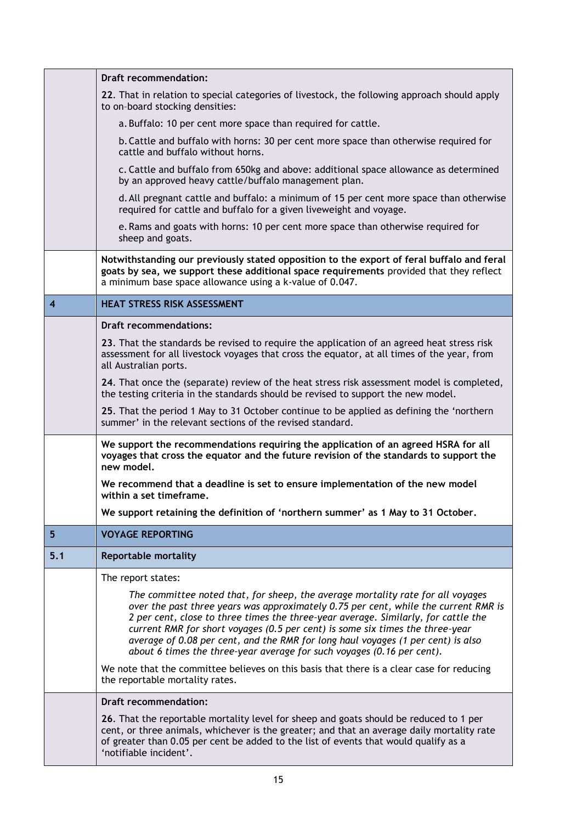|                         | <b>Draft recommendation:</b>                                                                                                                                                                                                                                                                                                                                                                                                                                                                                |
|-------------------------|-------------------------------------------------------------------------------------------------------------------------------------------------------------------------------------------------------------------------------------------------------------------------------------------------------------------------------------------------------------------------------------------------------------------------------------------------------------------------------------------------------------|
|                         | 22. That in relation to special categories of livestock, the following approach should apply<br>to on-board stocking densities:                                                                                                                                                                                                                                                                                                                                                                             |
|                         | a. Buffalo: 10 per cent more space than required for cattle.                                                                                                                                                                                                                                                                                                                                                                                                                                                |
|                         | b. Cattle and buffalo with horns: 30 per cent more space than otherwise required for<br>cattle and buffalo without horns.                                                                                                                                                                                                                                                                                                                                                                                   |
|                         | c. Cattle and buffalo from 650kg and above: additional space allowance as determined<br>by an approved heavy cattle/buffalo management plan.                                                                                                                                                                                                                                                                                                                                                                |
|                         | d. All pregnant cattle and buffalo: a minimum of 15 per cent more space than otherwise<br>required for cattle and buffalo for a given liveweight and voyage.                                                                                                                                                                                                                                                                                                                                                |
|                         | e. Rams and goats with horns: 10 per cent more space than otherwise required for<br>sheep and goats.                                                                                                                                                                                                                                                                                                                                                                                                        |
|                         | Notwithstanding our previously stated opposition to the export of feral buffalo and feral<br>goats by sea, we support these additional space requirements provided that they reflect<br>a minimum base space allowance using a k-value of 0.047.                                                                                                                                                                                                                                                            |
| $\overline{\mathbf{4}}$ | <b>HEAT STRESS RISK ASSESSMENT</b>                                                                                                                                                                                                                                                                                                                                                                                                                                                                          |
|                         | <b>Draft recommendations:</b>                                                                                                                                                                                                                                                                                                                                                                                                                                                                               |
|                         | 23. That the standards be revised to require the application of an agreed heat stress risk<br>assessment for all livestock voyages that cross the equator, at all times of the year, from<br>all Australian ports.                                                                                                                                                                                                                                                                                          |
|                         | 24. That once the (separate) review of the heat stress risk assessment model is completed,<br>the testing criteria in the standards should be revised to support the new model.                                                                                                                                                                                                                                                                                                                             |
|                         | 25. That the period 1 May to 31 October continue to be applied as defining the 'northern<br>summer' in the relevant sections of the revised standard.                                                                                                                                                                                                                                                                                                                                                       |
|                         | We support the recommendations requiring the application of an agreed HSRA for all<br>voyages that cross the equator and the future revision of the standards to support the<br>new model.                                                                                                                                                                                                                                                                                                                  |
|                         | We recommend that a deadline is set to ensure implementation of the new model<br>within a set timeframe.                                                                                                                                                                                                                                                                                                                                                                                                    |
|                         | We support retaining the definition of 'northern summer' as 1 May to 31 October.                                                                                                                                                                                                                                                                                                                                                                                                                            |
| 5 <sup>5</sup>          | <b>VOYAGE REPORTING</b>                                                                                                                                                                                                                                                                                                                                                                                                                                                                                     |
| 5.1                     | Reportable mortality                                                                                                                                                                                                                                                                                                                                                                                                                                                                                        |
|                         | The report states:                                                                                                                                                                                                                                                                                                                                                                                                                                                                                          |
|                         | The committee noted that, for sheep, the average mortality rate for all voyages<br>over the past three years was approximately 0.75 per cent, while the current RMR is<br>2 per cent, close to three times the three-year average. Similarly, for cattle the<br>current RMR for short voyages (0.5 per cent) is some six times the three-year<br>average of 0.08 per cent, and the RMR for long haul voyages (1 per cent) is also<br>about 6 times the three-year average for such voyages (0.16 per cent). |
|                         | We note that the committee believes on this basis that there is a clear case for reducing<br>the reportable mortality rates.                                                                                                                                                                                                                                                                                                                                                                                |
|                         | <b>Draft recommendation:</b>                                                                                                                                                                                                                                                                                                                                                                                                                                                                                |
|                         | 26. That the reportable mortality level for sheep and goats should be reduced to 1 per<br>cent, or three animals, whichever is the greater; and that an average daily mortality rate<br>of greater than 0.05 per cent be added to the list of events that would qualify as a<br>'notifiable incident'.                                                                                                                                                                                                      |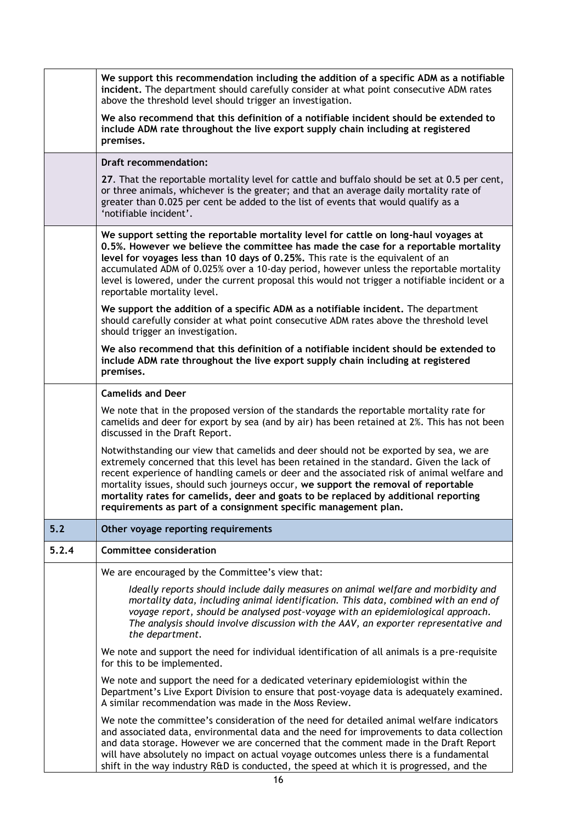|       | We support this recommendation including the addition of a specific ADM as a notifiable<br>incident. The department should carefully consider at what point consecutive ADM rates<br>above the threshold level should trigger an investigation.                                                                                                                                                                                                                                                                                 |
|-------|---------------------------------------------------------------------------------------------------------------------------------------------------------------------------------------------------------------------------------------------------------------------------------------------------------------------------------------------------------------------------------------------------------------------------------------------------------------------------------------------------------------------------------|
|       | We also recommend that this definition of a notifiable incident should be extended to<br>include ADM rate throughout the live export supply chain including at registered<br>premises.                                                                                                                                                                                                                                                                                                                                          |
|       | <b>Draft recommendation:</b>                                                                                                                                                                                                                                                                                                                                                                                                                                                                                                    |
|       | 27. That the reportable mortality level for cattle and buffalo should be set at 0.5 per cent,<br>or three animals, whichever is the greater; and that an average daily mortality rate of<br>greater than 0.025 per cent be added to the list of events that would qualify as a<br>'notifiable incident'.                                                                                                                                                                                                                        |
|       | We support setting the reportable mortality level for cattle on long-haul voyages at<br>0.5%. However we believe the committee has made the case for a reportable mortality<br>level for voyages less than 10 days of 0.25%. This rate is the equivalent of an<br>accumulated ADM of 0.025% over a 10-day period, however unless the reportable mortality<br>level is lowered, under the current proposal this would not trigger a notifiable incident or a<br>reportable mortality level.                                      |
|       | We support the addition of a specific ADM as a notifiable incident. The department<br>should carefully consider at what point consecutive ADM rates above the threshold level<br>should trigger an investigation.                                                                                                                                                                                                                                                                                                               |
|       | We also recommend that this definition of a notifiable incident should be extended to<br>include ADM rate throughout the live export supply chain including at registered<br>premises.                                                                                                                                                                                                                                                                                                                                          |
|       | <b>Camelids and Deer</b>                                                                                                                                                                                                                                                                                                                                                                                                                                                                                                        |
|       | We note that in the proposed version of the standards the reportable mortality rate for<br>camelids and deer for export by sea (and by air) has been retained at 2%. This has not been<br>discussed in the Draft Report.                                                                                                                                                                                                                                                                                                        |
|       | Notwithstanding our view that camelids and deer should not be exported by sea, we are<br>extremely concerned that this level has been retained in the standard. Given the lack of<br>recent experience of handling camels or deer and the associated risk of animal welfare and<br>mortality issues, should such journeys occur, we support the removal of reportable<br>mortality rates for camelids, deer and goats to be replaced by additional reporting<br>requirements as part of a consignment specific management plan. |
| 5.2   | Other voyage reporting requirements                                                                                                                                                                                                                                                                                                                                                                                                                                                                                             |
| 5.2.4 | <b>Committee consideration</b>                                                                                                                                                                                                                                                                                                                                                                                                                                                                                                  |
|       | We are encouraged by the Committee's view that:                                                                                                                                                                                                                                                                                                                                                                                                                                                                                 |
|       | Ideally reports should include daily measures on animal welfare and morbidity and<br>mortality data, including animal identification. This data, combined with an end of<br>voyage report, should be analysed post-voyage with an epidemiological approach.<br>The analysis should involve discussion with the AAV, an exporter representative and<br>the department.                                                                                                                                                           |
|       | We note and support the need for individual identification of all animals is a pre-requisite<br>for this to be implemented.                                                                                                                                                                                                                                                                                                                                                                                                     |
|       | We note and support the need for a dedicated veterinary epidemiologist within the<br>Department's Live Export Division to ensure that post-voyage data is adequately examined.<br>A similar recommendation was made in the Moss Review.                                                                                                                                                                                                                                                                                         |
|       | We note the committee's consideration of the need for detailed animal welfare indicators<br>and associated data, environmental data and the need for improvements to data collection<br>and data storage. However we are concerned that the comment made in the Draft Report<br>will have absolutely no impact on actual voyage outcomes unless there is a fundamental<br>shift in the way industry R&D is conducted, the speed at which it is progressed, and the                                                              |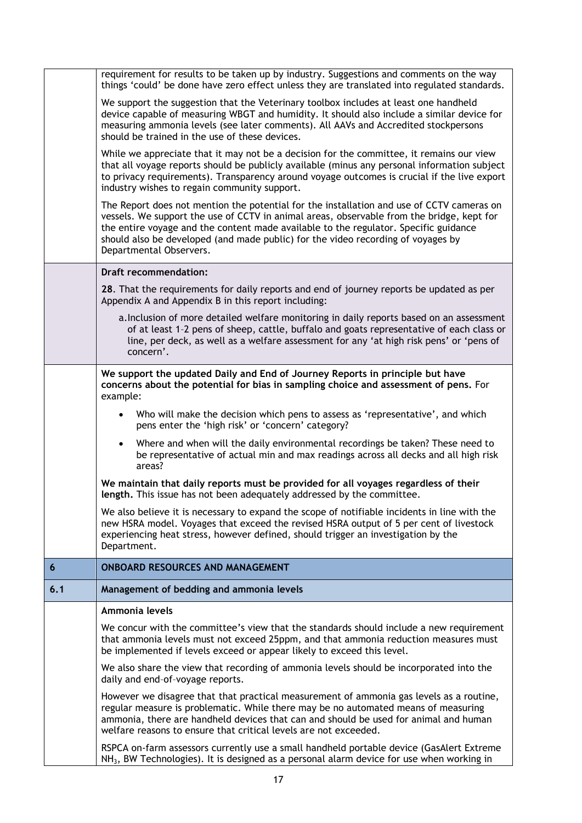|     | requirement for results to be taken up by industry. Suggestions and comments on the way<br>things 'could' be done have zero effect unless they are translated into regulated standards.                                                                                                                                                                                                       |
|-----|-----------------------------------------------------------------------------------------------------------------------------------------------------------------------------------------------------------------------------------------------------------------------------------------------------------------------------------------------------------------------------------------------|
|     | We support the suggestion that the Veterinary toolbox includes at least one handheld<br>device capable of measuring WBGT and humidity. It should also include a similar device for<br>measuring ammonia levels (see later comments). All AAVs and Accredited stockpersons<br>should be trained in the use of these devices.                                                                   |
|     | While we appreciate that it may not be a decision for the committee, it remains our view<br>that all voyage reports should be publicly available (minus any personal information subject<br>to privacy requirements). Transparency around voyage outcomes is crucial if the live export<br>industry wishes to regain community support.                                                       |
|     | The Report does not mention the potential for the installation and use of CCTV cameras on<br>vessels. We support the use of CCTV in animal areas, observable from the bridge, kept for<br>the entire voyage and the content made available to the regulator. Specific guidance<br>should also be developed (and made public) for the video recording of voyages by<br>Departmental Observers. |
|     | <b>Draft recommendation:</b>                                                                                                                                                                                                                                                                                                                                                                  |
|     | 28. That the requirements for daily reports and end of journey reports be updated as per<br>Appendix A and Appendix B in this report including:                                                                                                                                                                                                                                               |
|     | a. Inclusion of more detailed welfare monitoring in daily reports based on an assessment<br>of at least 1-2 pens of sheep, cattle, buffalo and goats representative of each class or<br>line, per deck, as well as a welfare assessment for any 'at high risk pens' or 'pens of<br>concern'.                                                                                                  |
|     | We support the updated Daily and End of Journey Reports in principle but have<br>concerns about the potential for bias in sampling choice and assessment of pens. For<br>example:                                                                                                                                                                                                             |
|     | Who will make the decision which pens to assess as 'representative', and which<br>$\bullet$<br>pens enter the 'high risk' or 'concern' category?                                                                                                                                                                                                                                              |
|     | Where and when will the daily environmental recordings be taken? These need to<br>$\bullet$<br>be representative of actual min and max readings across all decks and all high risk<br>areas?                                                                                                                                                                                                  |
|     | We maintain that daily reports must be provided for all voyages regardless of their<br>length. This issue has not been adequately addressed by the committee.                                                                                                                                                                                                                                 |
|     | We also believe it is necessary to expand the scope of notifiable incidents in line with the<br>new HSRA model. Voyages that exceed the revised HSRA output of 5 per cent of livestock<br>experiencing heat stress, however defined, should trigger an investigation by the<br>Department.                                                                                                    |
| 6   | <b>ONBOARD RESOURCES AND MANAGEMENT</b>                                                                                                                                                                                                                                                                                                                                                       |
| 6.1 | Management of bedding and ammonia levels                                                                                                                                                                                                                                                                                                                                                      |
|     | Ammonia levels                                                                                                                                                                                                                                                                                                                                                                                |
|     | We concur with the committee's view that the standards should include a new requirement<br>that ammonia levels must not exceed 25ppm, and that ammonia reduction measures must<br>be implemented if levels exceed or appear likely to exceed this level.                                                                                                                                      |
|     | We also share the view that recording of ammonia levels should be incorporated into the<br>daily and end-of-voyage reports.                                                                                                                                                                                                                                                                   |
|     | However we disagree that that practical measurement of ammonia gas levels as a routine,<br>regular measure is problematic. While there may be no automated means of measuring<br>ammonia, there are handheld devices that can and should be used for animal and human<br>welfare reasons to ensure that critical levels are not exceeded.                                                     |
|     | RSPCA on-farm assessors currently use a small handheld portable device (GasAlert Extreme<br>NH <sub>3</sub> , BW Technologies). It is designed as a personal alarm device for use when working in                                                                                                                                                                                             |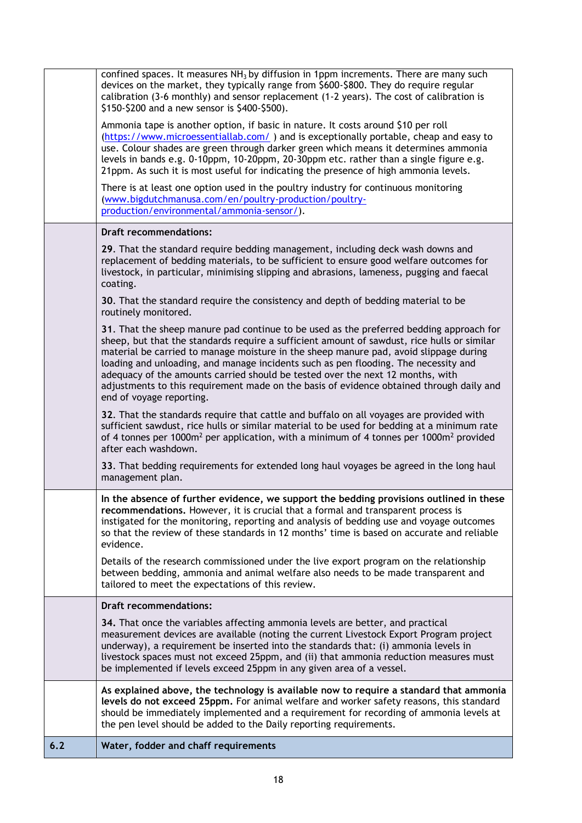| 6.2 | Water, fodder and chaff requirements                                                                                                                                                                                                                                                                                                                                                                                                                                                                                                                                                                                                                                        |
|-----|-----------------------------------------------------------------------------------------------------------------------------------------------------------------------------------------------------------------------------------------------------------------------------------------------------------------------------------------------------------------------------------------------------------------------------------------------------------------------------------------------------------------------------------------------------------------------------------------------------------------------------------------------------------------------------|
|     | As explained above, the technology is available now to require a standard that ammonia<br>levels do not exceed 25ppm. For animal welfare and worker safety reasons, this standard<br>should be immediately implemented and a requirement for recording of ammonia levels at<br>the pen level should be added to the Daily reporting requirements.                                                                                                                                                                                                                                                                                                                           |
|     | <b>Draft recommendations:</b><br>34. That once the variables affecting ammonia levels are better, and practical<br>measurement devices are available (noting the current Livestock Export Program project<br>underway), a requirement be inserted into the standards that: (i) ammonia levels in<br>livestock spaces must not exceed 25ppm, and (ii) that ammonia reduction measures must<br>be implemented if levels exceed 25ppm in any given area of a vessel.                                                                                                                                                                                                           |
|     | Details of the research commissioned under the live export program on the relationship<br>between bedding, ammonia and animal welfare also needs to be made transparent and<br>tailored to meet the expectations of this review.                                                                                                                                                                                                                                                                                                                                                                                                                                            |
|     | In the absence of further evidence, we support the bedding provisions outlined in these<br>recommendations. However, it is crucial that a formal and transparent process is<br>instigated for the monitoring, reporting and analysis of bedding use and voyage outcomes<br>so that the review of these standards in 12 months' time is based on accurate and reliable<br>evidence.                                                                                                                                                                                                                                                                                          |
|     | sufficient sawdust, rice hulls or similar material to be used for bedding at a minimum rate<br>of 4 tonnes per 1000m <sup>2</sup> per application, with a minimum of 4 tonnes per 1000m <sup>2</sup> provided<br>after each washdown.<br>33. That bedding requirements for extended long haul voyages be agreed in the long haul<br>management plan.                                                                                                                                                                                                                                                                                                                        |
|     | 31. That the sheep manure pad continue to be used as the preferred bedding approach for<br>sheep, but that the standards require a sufficient amount of sawdust, rice hulls or similar<br>material be carried to manage moisture in the sheep manure pad, avoid slippage during<br>loading and unloading, and manage incidents such as pen flooding. The necessity and<br>adequacy of the amounts carried should be tested over the next 12 months, with<br>adjustments to this requirement made on the basis of evidence obtained through daily and<br>end of voyage reporting.<br>32. That the standards require that cattle and buffalo on all voyages are provided with |
|     | 30. That the standard require the consistency and depth of bedding material to be<br>routinely monitored.                                                                                                                                                                                                                                                                                                                                                                                                                                                                                                                                                                   |
|     | <b>Draft recommendations:</b><br>29. That the standard require bedding management, including deck wash downs and<br>replacement of bedding materials, to be sufficient to ensure good welfare outcomes for<br>livestock, in particular, minimising slipping and abrasions, lameness, pugging and faecal<br>coating.                                                                                                                                                                                                                                                                                                                                                         |
|     | (www.bigdutchmanusa.com/en/poultry-production/poultry-<br>production/environmental/ammonia-sensor/).                                                                                                                                                                                                                                                                                                                                                                                                                                                                                                                                                                        |
|     | Ammonia tape is another option, if basic in nature. It costs around \$10 per roll<br>(https://www.microessentiallab.com/) and is exceptionally portable, cheap and easy to<br>use. Colour shades are green through darker green which means it determines ammonia<br>levels in bands e.g. 0-10ppm, 10-20ppm, 20-30ppm etc. rather than a single figure e.g.<br>21ppm. As such it is most useful for indicating the presence of high ammonia levels.<br>There is at least one option used in the poultry industry for continuous monitoring                                                                                                                                  |
|     | confined spaces. It measures NH <sub>3</sub> by diffusion in 1ppm increments. There are many such<br>devices on the market, they typically range from \$600-\$800. They do require regular<br>calibration (3-6 monthly) and sensor replacement (1-2 years). The cost of calibration is<br>\$150-\$200 and a new sensor is \$400-\$500).                                                                                                                                                                                                                                                                                                                                     |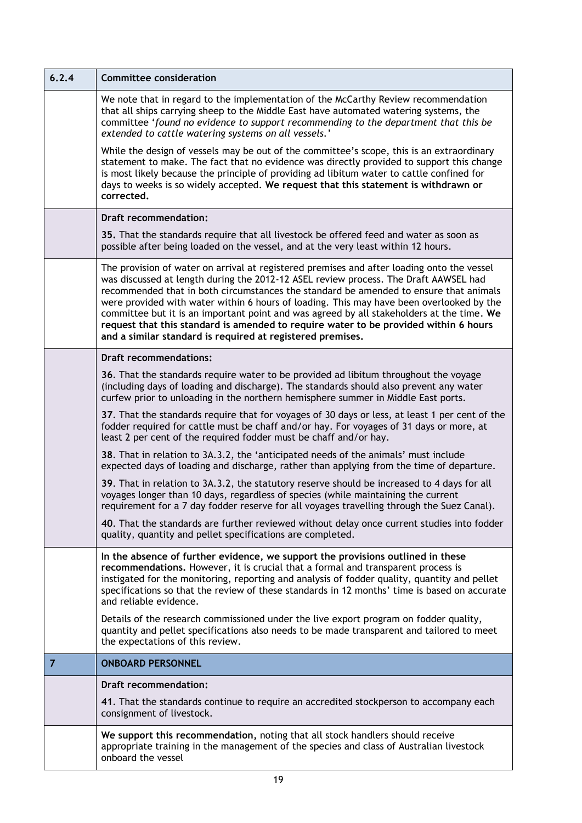| 6.2.4          | <b>Committee consideration</b>                                                                                                                                                                                                                                                                                                                                                                                                                                                                                                                                                                                             |
|----------------|----------------------------------------------------------------------------------------------------------------------------------------------------------------------------------------------------------------------------------------------------------------------------------------------------------------------------------------------------------------------------------------------------------------------------------------------------------------------------------------------------------------------------------------------------------------------------------------------------------------------------|
|                | We note that in regard to the implementation of the McCarthy Review recommendation<br>that all ships carrying sheep to the Middle East have automated watering systems, the<br>committee 'found no evidence to support recommending to the department that this be<br>extended to cattle watering systems on all vessels.'                                                                                                                                                                                                                                                                                                 |
|                | While the design of vessels may be out of the committee's scope, this is an extraordinary<br>statement to make. The fact that no evidence was directly provided to support this change<br>is most likely because the principle of providing ad libitum water to cattle confined for<br>days to weeks is so widely accepted. We request that this statement is withdrawn or<br>corrected.                                                                                                                                                                                                                                   |
|                | <b>Draft recommendation:</b>                                                                                                                                                                                                                                                                                                                                                                                                                                                                                                                                                                                               |
|                | 35. That the standards require that all livestock be offered feed and water as soon as<br>possible after being loaded on the vessel, and at the very least within 12 hours.                                                                                                                                                                                                                                                                                                                                                                                                                                                |
|                | The provision of water on arrival at registered premises and after loading onto the vessel<br>was discussed at length during the 2012-12 ASEL review process. The Draft AAWSEL had<br>recommended that in both circumstances the standard be amended to ensure that animals<br>were provided with water within 6 hours of loading. This may have been overlooked by the<br>committee but it is an important point and was agreed by all stakeholders at the time. We<br>request that this standard is amended to require water to be provided within 6 hours<br>and a similar standard is required at registered premises. |
|                | <b>Draft recommendations:</b>                                                                                                                                                                                                                                                                                                                                                                                                                                                                                                                                                                                              |
|                | 36. That the standards require water to be provided ad libitum throughout the voyage<br>(including days of loading and discharge). The standards should also prevent any water<br>curfew prior to unloading in the northern hemisphere summer in Middle East ports.                                                                                                                                                                                                                                                                                                                                                        |
|                | 37. That the standards require that for voyages of 30 days or less, at least 1 per cent of the<br>fodder required for cattle must be chaff and/or hay. For voyages of 31 days or more, at<br>least 2 per cent of the required fodder must be chaff and/or hay.                                                                                                                                                                                                                                                                                                                                                             |
|                | 38. That in relation to 3A.3.2, the 'anticipated needs of the animals' must include<br>expected days of loading and discharge, rather than applying from the time of departure.                                                                                                                                                                                                                                                                                                                                                                                                                                            |
|                | 39. That in relation to 3A.3.2, the statutory reserve should be increased to 4 days for all<br>voyages longer than 10 days, regardless of species (while maintaining the current<br>requirement for a 7 day fodder reserve for all voyages travelling through the Suez Canal).                                                                                                                                                                                                                                                                                                                                             |
|                | 40. That the standards are further reviewed without delay once current studies into fodder<br>quality, quantity and pellet specifications are completed.                                                                                                                                                                                                                                                                                                                                                                                                                                                                   |
|                | In the absence of further evidence, we support the provisions outlined in these<br>recommendations. However, it is crucial that a formal and transparent process is<br>instigated for the monitoring, reporting and analysis of fodder quality, quantity and pellet<br>specifications so that the review of these standards in 12 months' time is based on accurate<br>and reliable evidence.                                                                                                                                                                                                                              |
|                | Details of the research commissioned under the live export program on fodder quality,<br>quantity and pellet specifications also needs to be made transparent and tailored to meet<br>the expectations of this review.                                                                                                                                                                                                                                                                                                                                                                                                     |
| $\overline{7}$ | <b>ONBOARD PERSONNEL</b>                                                                                                                                                                                                                                                                                                                                                                                                                                                                                                                                                                                                   |
|                | <b>Draft recommendation:</b>                                                                                                                                                                                                                                                                                                                                                                                                                                                                                                                                                                                               |
|                | 41. That the standards continue to require an accredited stockperson to accompany each<br>consignment of livestock.                                                                                                                                                                                                                                                                                                                                                                                                                                                                                                        |
|                | We support this recommendation, noting that all stock handlers should receive<br>appropriate training in the management of the species and class of Australian livestock<br>onboard the vessel                                                                                                                                                                                                                                                                                                                                                                                                                             |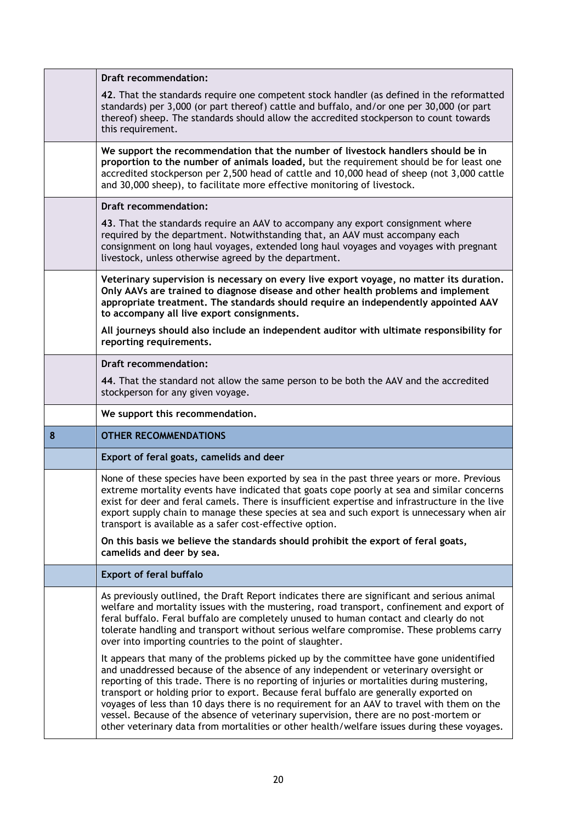|   | <b>Draft recommendation:</b>                                                                                                                                                                                                                                                                                                                                                                                                                         |
|---|------------------------------------------------------------------------------------------------------------------------------------------------------------------------------------------------------------------------------------------------------------------------------------------------------------------------------------------------------------------------------------------------------------------------------------------------------|
|   | 42. That the standards require one competent stock handler (as defined in the reformatted<br>standards) per 3,000 (or part thereof) cattle and buffalo, and/or one per 30,000 (or part<br>thereof) sheep. The standards should allow the accredited stockperson to count towards<br>this requirement.                                                                                                                                                |
|   | We support the recommendation that the number of livestock handlers should be in<br>proportion to the number of animals loaded, but the requirement should be for least one<br>accredited stockperson per 2,500 head of cattle and 10,000 head of sheep (not 3,000 cattle<br>and 30,000 sheep), to facilitate more effective monitoring of livestock.                                                                                                |
|   | <b>Draft recommendation:</b>                                                                                                                                                                                                                                                                                                                                                                                                                         |
|   | 43. That the standards require an AAV to accompany any export consignment where<br>required by the department. Notwithstanding that, an AAV must accompany each<br>consignment on long haul voyages, extended long haul voyages and voyages with pregnant<br>livestock, unless otherwise agreed by the department.                                                                                                                                   |
|   | Veterinary supervision is necessary on every live export voyage, no matter its duration.<br>Only AAVs are trained to diagnose disease and other health problems and implement<br>appropriate treatment. The standards should require an independently appointed AAV<br>to accompany all live export consignments.                                                                                                                                    |
|   | All journeys should also include an independent auditor with ultimate responsibility for<br>reporting requirements.                                                                                                                                                                                                                                                                                                                                  |
|   | <b>Draft recommendation:</b>                                                                                                                                                                                                                                                                                                                                                                                                                         |
|   | 44. That the standard not allow the same person to be both the AAV and the accredited<br>stockperson for any given voyage.                                                                                                                                                                                                                                                                                                                           |
|   |                                                                                                                                                                                                                                                                                                                                                                                                                                                      |
|   | We support this recommendation.                                                                                                                                                                                                                                                                                                                                                                                                                      |
| 8 | <b>OTHER RECOMMENDATIONS</b>                                                                                                                                                                                                                                                                                                                                                                                                                         |
|   | Export of feral goats, camelids and deer                                                                                                                                                                                                                                                                                                                                                                                                             |
|   | None of these species have been exported by sea in the past three years or more. Previous<br>extreme mortality events have indicated that goats cope poorly at sea and similar concerns<br>exist for deer and feral camels. There is insufficient expertise and infrastructure in the live<br>export supply chain to manage these species at sea and such export is unnecessary when air<br>transport is available as a safer cost-effective option. |
|   | On this basis we believe the standards should prohibit the export of feral goats,<br>camelids and deer by sea.                                                                                                                                                                                                                                                                                                                                       |
|   | <b>Export of feral buffalo</b>                                                                                                                                                                                                                                                                                                                                                                                                                       |
|   | As previously outlined, the Draft Report indicates there are significant and serious animal<br>welfare and mortality issues with the mustering, road transport, confinement and export of<br>feral buffalo. Feral buffalo are completely unused to human contact and clearly do not<br>tolerate handling and transport without serious welfare compromise. These problems carry<br>over into importing countries to the point of slaughter.          |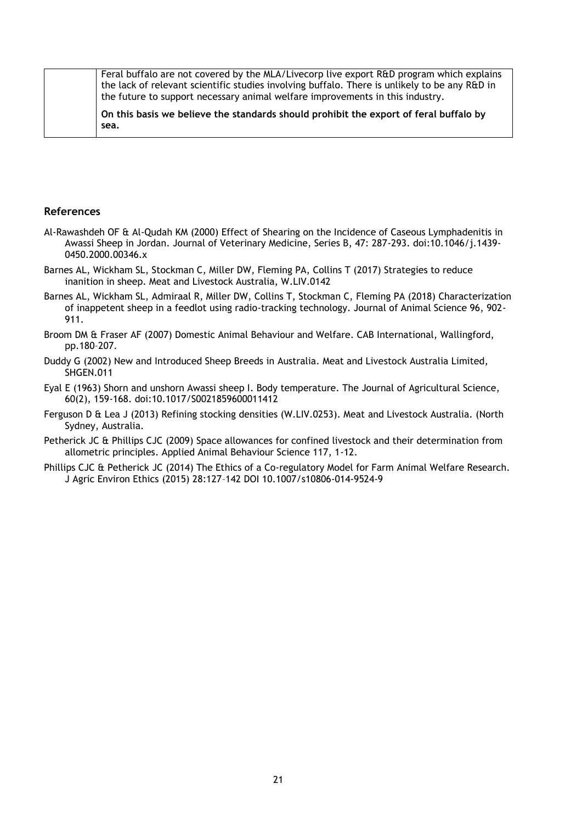Feral buffalo are not covered by the MLA/Livecorp live export R&D program which explains the lack of relevant scientific studies involving buffalo. There is unlikely to be any R&D in the future to support necessary animal welfare improvements in this industry.

**On this basis we believe the standards should prohibit the export of feral buffalo by sea.**

### **References**

- Al‐Rawashdeh OF & Al‐Qudah KM (2000) Effect of Shearing on the Incidence of Caseous Lymphadenitis in Awassi Sheep in Jordan. Journal of Veterinary Medicine, Series B, 47: 287-293. doi:10.1046/j.1439- 0450.2000.00346.x
- Barnes AL, Wickham SL, Stockman C, Miller DW, Fleming PA, Collins T (2017) Strategies to reduce inanition in sheep. Meat and Livestock Australia, W.LIV.0142
- Barnes AL, Wickham SL, Admiraal R, Miller DW, Collins T, Stockman C, Fleming PA (2018) Characterization of inappetent sheep in a feedlot using radio-tracking technology. Journal of Animal Science 96, 902- 911.
- Broom DM & Fraser AF (2007) Domestic Animal Behaviour and Welfare. CAB International, Wallingford, pp.180–207.
- Duddy G (2002) New and Introduced Sheep Breeds in Australia. Meat and Livestock Australia Limited, SHGEN.011
- Eyal E (1963) Shorn and unshorn Awassi sheep I. Body temperature. The Journal of Agricultural Science, 60(2), 159-168. doi:10.1017/S0021859600011412
- Ferguson D & Lea J (2013) Refining stocking densities (W.LIV.0253). Meat and Livestock Australia. (North Sydney, Australia.
- Petherick JC & Phillips CJC (2009) Space allowances for confined livestock and their determination from allometric principles. Applied Animal Behaviour Science 117, 1-12.
- Phillips CJC & Petherick JC (2014) The Ethics of a Co-regulatory Model for Farm Animal Welfare Research. J Agric Environ Ethics (2015) 28:127–142 DOI 10.1007/s10806-014-9524-9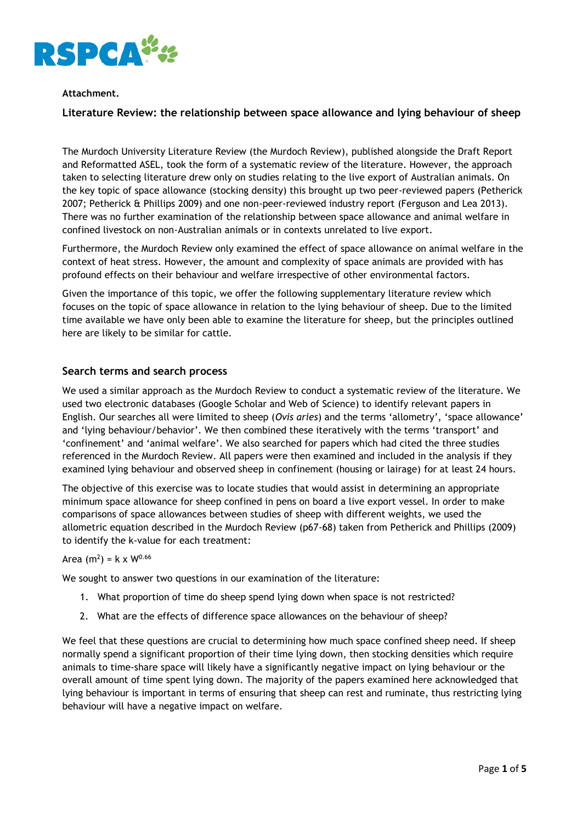

# **Attachment.**

# **Literature Review: the relationship between space allowance and lying behaviour of sheep**

The Murdoch University Literature Review (the Murdoch Review), published alongside the Draft Report and Reformatted ASEL, took the form of a systematic review of the literature. However, the approach taken to selecting literature drew only on studies relating to the live export of Australian animals. On the key topic of space allowance (stocking density) this brought up two peer-reviewed papers (Petherick 2007; Petherick & Phillips 2009) and one non-peer-reviewed industry report (Ferguson and Lea 2013). There was no further examination of the relationship between space allowance and animal welfare in confined livestock on non-Australian animals or in contexts unrelated to live export.

Furthermore, the Murdoch Review only examined the effect of space allowance on animal welfare in the context of heat stress. However, the amount and complexity of space animals are provided with has profound effects on their behaviour and welfare irrespective of other environmental factors.

Given the importance of this topic, we offer the following supplementary literature review which focuses on the topic of space allowance in relation to the lying behaviour of sheep. Due to the limited time available we have only been able to examine the literature for sheep, but the principles outlined here are likely to be similar for cattle.

# **Search terms and search process**

We used a similar approach as the Murdoch Review to conduct a systematic review of the literature. We used two electronic databases (Google Scholar and Web of Science) to identify relevant papers in English. Our searches all were limited to sheep (*Ovis aries*) and the terms 'allometry', 'space allowance' and 'lying behaviour/behavior'. We then combined these iteratively with the terms 'transport' and 'confinement' and 'animal welfare'. We also searched for papers which had cited the three studies referenced in the Murdoch Review. All papers were then examined and included in the analysis if they examined lying behaviour and observed sheep in confinement (housing or lairage) for at least 24 hours.

The objective of this exercise was to locate studies that would assist in determining an appropriate minimum space allowance for sheep confined in pens on board a live export vessel. In order to make comparisons of space allowances between studies of sheep with different weights, we used the allometric equation described in the Murdoch Review (p67-68) taken from Petherick and Phillips (2009) to identify the k-value for each treatment:

### Area (m<sup>2</sup>) = k x W<sup>0.66</sup>

We sought to answer two questions in our examination of the literature:

- 1. What proportion of time do sheep spend lying down when space is not restricted?
- 2. What are the effects of difference space allowances on the behaviour of sheep?

We feel that these questions are crucial to determining how much space confined sheep need. If sheep normally spend a significant proportion of their time lying down, then stocking densities which require animals to time-share space will likely have a significantly negative impact on lying behaviour or the overall amount of time spent lying down. The majority of the papers examined here acknowledged that lying behaviour is important in terms of ensuring that sheep can rest and ruminate, thus restricting lying behaviour will have a negative impact on welfare.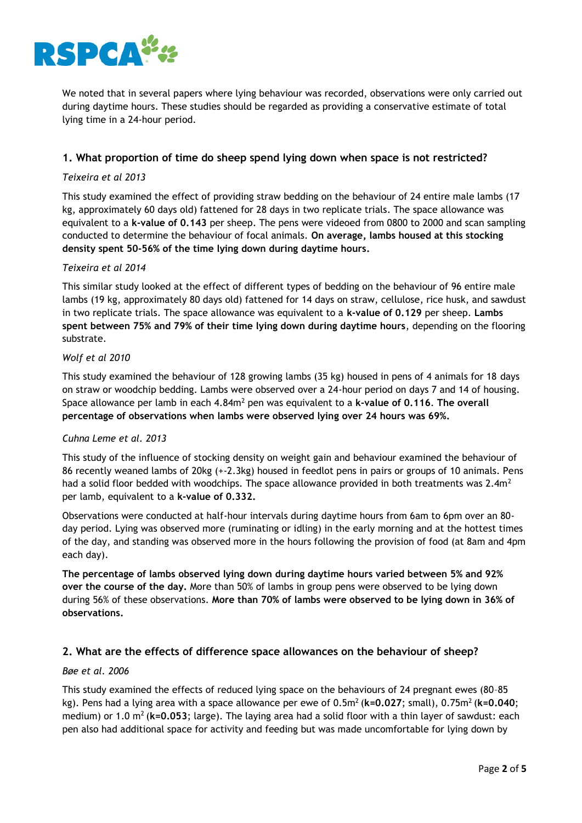

We noted that in several papers where lying behaviour was recorded, observations were only carried out during daytime hours. These studies should be regarded as providing a conservative estimate of total lying time in a 24-hour period.

# **1. What proportion of time do sheep spend lying down when space is not restricted?**

### *Teixeira et al 2013*

This study examined the effect of providing straw bedding on the behaviour of 24 entire male lambs (17 kg, approximately 60 days old) fattened for 28 days in two replicate trials. The space allowance was equivalent to a **k-value of 0.143** per sheep. The pens were videoed from 0800 to 2000 and scan sampling conducted to determine the behaviour of focal animals. **On average, lambs housed at this stocking density spent 50-56% of the time lying down during daytime hours.** 

### *Teixeira et al 2014*

This similar study looked at the effect of different types of bedding on the behaviour of 96 entire male lambs (19 kg, approximately 80 days old) fattened for 14 days on straw, cellulose, rice husk, and sawdust in two replicate trials. The space allowance was equivalent to a **k-value of 0.129** per sheep. **Lambs spent between 75% and 79% of their time lying down during daytime hours**, depending on the flooring substrate.

# *Wolf et al 2010*

This study examined the behaviour of 128 growing lambs (35 kg) housed in pens of 4 animals for 18 days on straw or woodchip bedding. Lambs were observed over a 24-hour period on days 7 and 14 of housing. Space allowance per lamb in each 4.84m<sup>2</sup> pen was equivalent to a **k-value of 0.116**. **The overall percentage of observations when lambs were observed lying over 24 hours was 69%.** 

#### *Cuhna Leme et al. 2013*

This study of the influence of stocking density on weight gain and behaviour examined the behaviour of 86 recently weaned lambs of 20kg (+-2.3kg) housed in feedlot pens in pairs or groups of 10 animals. Pens had a solid floor bedded with woodchips. The space allowance provided in both treatments was 2.4m<sup>2</sup> per lamb, equivalent to a **k-value of 0.332.**

Observations were conducted at half-hour intervals during daytime hours from 6am to 6pm over an 80 day period. Lying was observed more (ruminating or idling) in the early morning and at the hottest times of the day, and standing was observed more in the hours following the provision of food (at 8am and 4pm each day).

**The percentage of lambs observed lying down during daytime hours varied between 5% and 92% over the course of the day.** More than 50% of lambs in group pens were observed to be lying down during 56% of these observations. **More than 70% of lambs were observed to be lying down in 36% of observations.**

# **2. What are the effects of difference space allowances on the behaviour of sheep?**

### *Bøe et al. 2006*

This study examined the effects of reduced lying space on the behaviours of 24 pregnant ewes (80–85 kg). Pens had a lying area with a space allowance per ewe of 0.5m<sup>2</sup>(**k=0.027**; small), 0.75m<sup>2</sup>(**k=0.040**; medium) or 1.0 m<sup>2</sup>(**k=0.053**; large). The laying area had a solid floor with a thin layer of sawdust: each pen also had additional space for activity and feeding but was made uncomfortable for lying down by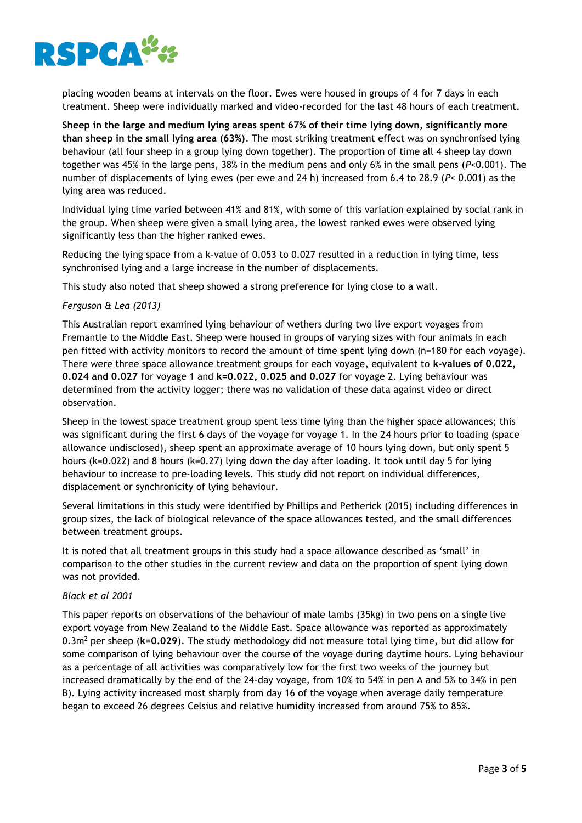

placing wooden beams at intervals on the floor. Ewes were housed in groups of 4 for 7 days in each treatment. Sheep were individually marked and video-recorded for the last 48 hours of each treatment.

**Sheep in the large and medium lying areas spent 67% of their time lying down, significantly more than sheep in the small lying area (63%)**. The most striking treatment effect was on synchronised lying behaviour (all four sheep in a group lying down together). The proportion of time all 4 sheep lay down together was 45% in the large pens, 38% in the medium pens and only 6% in the small pens (*P*<0.001). The number of displacements of lying ewes (per ewe and 24 h) increased from 6.4 to 28.9 (*P*< 0.001) as the lying area was reduced.

Individual lying time varied between 41% and 81%, with some of this variation explained by social rank in the group. When sheep were given a small lying area, the lowest ranked ewes were observed lying significantly less than the higher ranked ewes.

Reducing the lying space from a k-value of 0.053 to 0.027 resulted in a reduction in lying time, less synchronised lying and a large increase in the number of displacements.

This study also noted that sheep showed a strong preference for lying close to a wall.

### *Ferguson & Lea (2013)*

This Australian report examined lying behaviour of wethers during two live export voyages from Fremantle to the Middle East. Sheep were housed in groups of varying sizes with four animals in each pen fitted with activity monitors to record the amount of time spent lying down (n=180 for each voyage). There were three space allowance treatment groups for each voyage, equivalent to **k-values of 0.022, 0.024 and 0.027** for voyage 1 and **k=0.022, 0.025 and 0.027** for voyage 2. Lying behaviour was determined from the activity logger; there was no validation of these data against video or direct observation.

Sheep in the lowest space treatment group spent less time lying than the higher space allowances; this was significant during the first 6 days of the voyage for voyage 1. In the 24 hours prior to loading (space allowance undisclosed), sheep spent an approximate average of 10 hours lying down, but only spent 5 hours (k=0.022) and 8 hours (k=0.27) lying down the day after loading. It took until day 5 for lying behaviour to increase to pre-loading levels. This study did not report on individual differences, displacement or synchronicity of lying behaviour.

Several limitations in this study were identified by Phillips and Petherick (2015) including differences in group sizes, the lack of biological relevance of the space allowances tested, and the small differences between treatment groups.

It is noted that all treatment groups in this study had a space allowance described as 'small' in comparison to the other studies in the current review and data on the proportion of spent lying down was not provided.

#### *Black et al 2001*

This paper reports on observations of the behaviour of male lambs (35kg) in two pens on a single live export voyage from New Zealand to the Middle East. Space allowance was reported as approximately 0.3m<sup>2</sup> per sheep (**k=0.029**). The study methodology did not measure total lying time, but did allow for some comparison of lying behaviour over the course of the voyage during daytime hours. Lying behaviour as a percentage of all activities was comparatively low for the first two weeks of the journey but increased dramatically by the end of the 24-day voyage, from 10% to 54% in pen A and 5% to 34% in pen B). Lying activity increased most sharply from day 16 of the voyage when average daily temperature began to exceed 26 degrees Celsius and relative humidity increased from around 75% to 85%.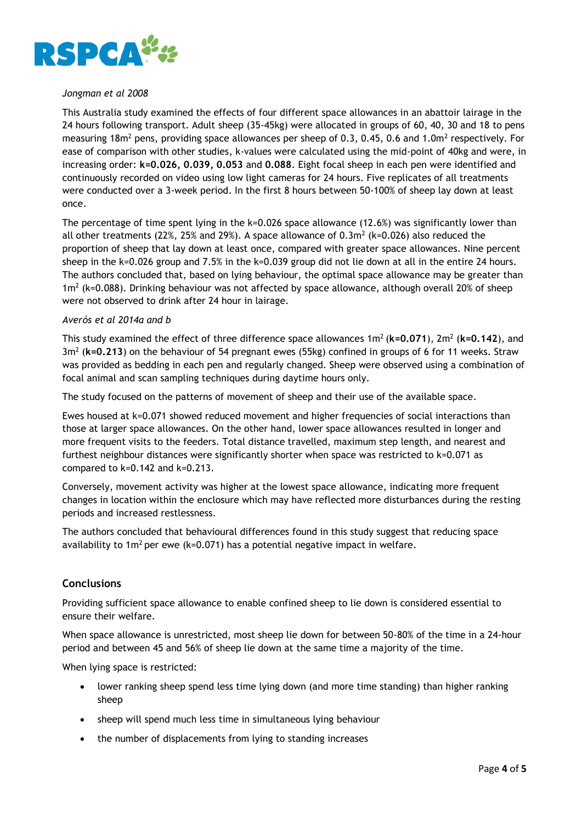

# *Jongman et al 2008*

This Australia study examined the effects of four different space allowances in an abattoir lairage in the 24 hours following transport. Adult sheep (35-45kg) were allocated in groups of 60, 40, 30 and 18 to pens measuring 18m<sup>2</sup> pens, providing space allowances per sheep of 0.3, 0.45, 0.6 and 1.0m<sup>2</sup> respectively. For ease of comparison with other studies, k-values were calculated using the mid-point of 40kg and were, in increasing order: **k=0.026, 0.039, 0.053** and **0.088**. Eight focal sheep in each pen were identified and continuously recorded on video using low light cameras for 24 hours. Five replicates of all treatments were conducted over a 3-week period. In the first 8 hours between 50-100% of sheep lay down at least once.

The percentage of time spent lying in the  $k=0.026$  space allowance (12.6%) was significantly lower than all other treatments (22%, 25% and 29%). A space allowance of 0.3m<sup>2</sup> (k=0.026) also reduced the proportion of sheep that lay down at least once, compared with greater space allowances. Nine percent sheep in the k=0.026 group and 7.5% in the k=0.039 group did not lie down at all in the entire 24 hours. The authors concluded that, based on lying behaviour, the optimal space allowance may be greater than  $1m^2$  (k=0.088). Drinking behaviour was not affected by space allowance, although overall 20% of sheep were not observed to drink after 24 hour in lairage.

## *Averós et al 2014a and b*

This study examined the effect of three difference space allowances 1m<sup>2</sup> (k=0.071), 2m<sup>2</sup> (k=0.142), and 3m<sup>2</sup> (**k=0.213**) on the behaviour of 54 pregnant ewes (55kg) confined in groups of 6 for 11 weeks. Straw was provided as bedding in each pen and regularly changed. Sheep were observed using a combination of focal animal and scan sampling techniques during daytime hours only.

The study focused on the patterns of movement of sheep and their use of the available space.

Ewes housed at k=0.071 showed reduced movement and higher frequencies of social interactions than those at larger space allowances. On the other hand, lower space allowances resulted in longer and more frequent visits to the feeders. Total distance travelled, maximum step length, and nearest and furthest neighbour distances were significantly shorter when space was restricted to k=0.071 as compared to k=0.142 and k=0.213.

Conversely, movement activity was higher at the lowest space allowance, indicating more frequent changes in location within the enclosure which may have reflected more disturbances during the resting periods and increased restlessness.

The authors concluded that behavioural differences found in this study suggest that reducing space availability to 1m<sup>2</sup> per ewe (k=0.071) has a potential negative impact in welfare.

# **Conclusions**

Providing sufficient space allowance to enable confined sheep to lie down is considered essential to ensure their welfare.

When space allowance is unrestricted, most sheep lie down for between 50-80% of the time in a 24-hour period and between 45 and 56% of sheep lie down at the same time a majority of the time.

When lying space is restricted:

- lower ranking sheep spend less time lying down (and more time standing) than higher ranking sheep
- sheep will spend much less time in simultaneous lying behaviour
- the number of displacements from lying to standing increases